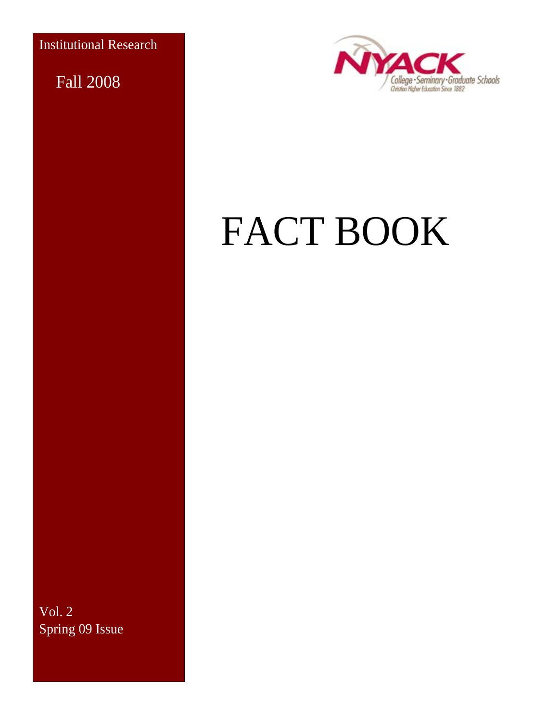Institutional Research

Fall 2008



# FACT BOOK

Vol. 2 Spring 09 Issue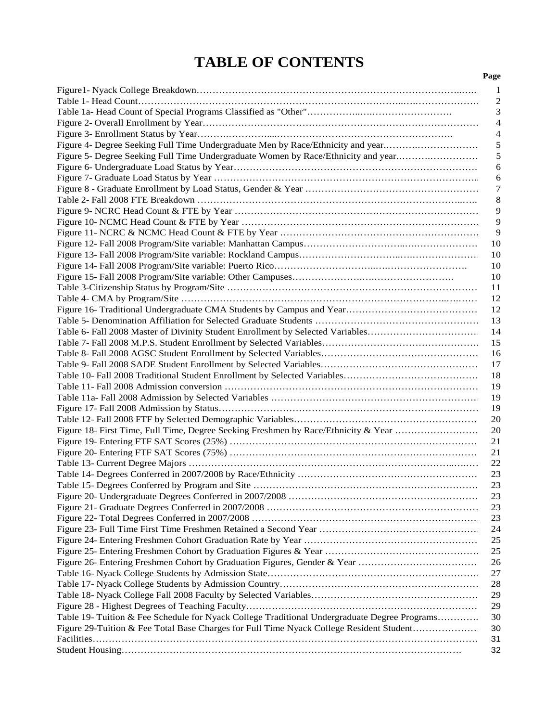### **TABLE OF CONTENTS**

|                                                                                              | 1              |
|----------------------------------------------------------------------------------------------|----------------|
|                                                                                              | $\overline{c}$ |
|                                                                                              | 3              |
|                                                                                              | 4              |
|                                                                                              | 4              |
| Figure 4- Degree Seeking Full Time Undergraduate Men by Race/Ethnicity and year              | 5              |
| Figure 5- Degree Seeking Full Time Undergraduate Women by Race/Ethnicity and year            | 5              |
|                                                                                              | 6              |
|                                                                                              | 6              |
|                                                                                              | 7              |
|                                                                                              | 8              |
|                                                                                              | 9              |
|                                                                                              | 9              |
|                                                                                              | 9              |
|                                                                                              | 10             |
|                                                                                              | 10             |
|                                                                                              |                |
|                                                                                              | 10             |
|                                                                                              | 10             |
|                                                                                              | 11             |
|                                                                                              | 12             |
|                                                                                              | 12             |
|                                                                                              | 13             |
| Table 6- Fall 2008 Master of Divinity Student Enrollment by Selected Variables               | 14             |
|                                                                                              | 15             |
|                                                                                              | 16             |
|                                                                                              | 17             |
|                                                                                              | 18             |
|                                                                                              | 19             |
|                                                                                              | 19             |
|                                                                                              | 19             |
|                                                                                              | 20             |
| Figure 18- First Time, Full Time, Degree Seeking Freshmen by Race/Ethnicity & Year           | 20             |
|                                                                                              | 21             |
|                                                                                              | 21             |
|                                                                                              | 22             |
|                                                                                              | 23             |
|                                                                                              | 23             |
|                                                                                              | 23             |
|                                                                                              | 23             |
|                                                                                              | 23             |
|                                                                                              | 24             |
|                                                                                              | 25             |
|                                                                                              | 25             |
|                                                                                              | 26             |
|                                                                                              | 27             |
|                                                                                              | 28             |
|                                                                                              | 29             |
|                                                                                              | 29             |
| Table 19- Tuition & Fee Schedule for Nyack College Traditional Undergraduate Degree Programs | 30             |
|                                                                                              |                |
| Figure 29-Tuition & Fee Total Base Charges for Full Time Nyack College Resident Student      | 30             |
|                                                                                              | 31             |
|                                                                                              | 32             |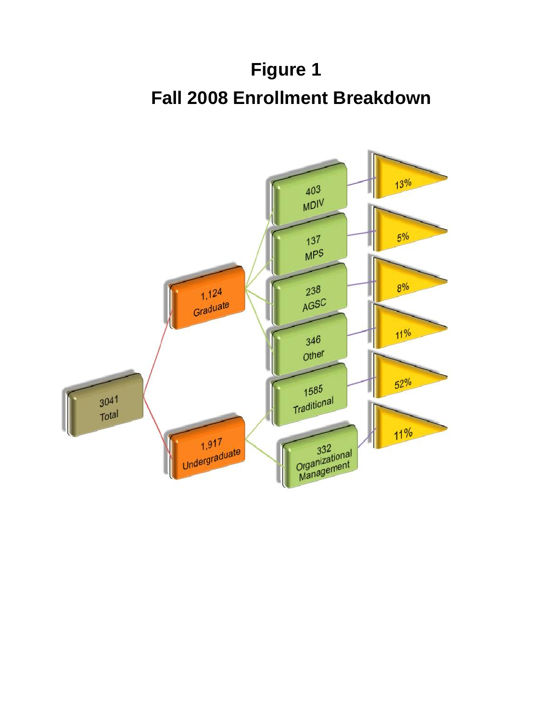## **Figure 1 Fall 2008 Enrollment Breakdown**

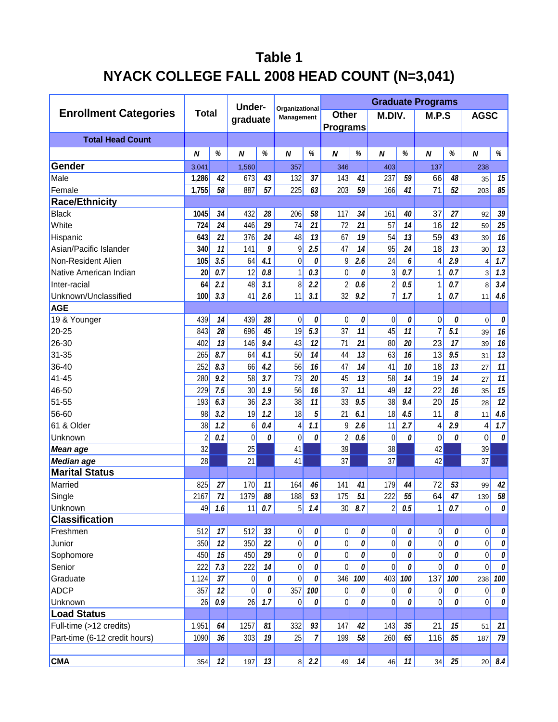### **Table 1 NYACK COLLEGE FALL 2008 HEAD COUNT (N=3,041)**

|                               |              |            | <b>Under-</b> |                 |                              |                |                  | <b>Graduate Programs</b> |                  |                    |                  |     |                |                 |
|-------------------------------|--------------|------------|---------------|-----------------|------------------------------|----------------|------------------|--------------------------|------------------|--------------------|------------------|-----|----------------|-----------------|
| <b>Enrollment Categories</b>  | <b>Total</b> |            | graduate      |                 | Organizational<br>Management |                | Other            |                          | M.DIV.           |                    | M.P.S            |     | <b>AGSC</b>    |                 |
|                               |              |            |               |                 | <b>Programs</b>              |                |                  |                          |                  |                    |                  |     |                |                 |
| <b>Total Head Count</b>       |              |            |               |                 |                              |                |                  |                          |                  |                    |                  |     |                |                 |
|                               | N            | %          | N             | %               | $\boldsymbol{N}$             | %              | N                | $\%$                     | $\boldsymbol{N}$ | $\%$               | $\boldsymbol{N}$ | %   | N              | $\%$            |
| Gender                        | 3,041        |            | 1,560         |                 | 357                          |                | 346              |                          | 403              |                    | 137              |     | 238            |                 |
| Male                          | 1,286        | 42         | 673           | 43              | 132                          | 37             | 143              | 41                       | 237              | 59                 | 66               | 48  | 35             | 15              |
| Female                        | 1,755        | 58         | 887           | 57              | 225                          | 63             | 203              | 59                       | 166              | 41                 | 71               | 52  | 203            | 85              |
| <b>Race/Ethnicity</b>         |              |            |               |                 |                              |                |                  |                          |                  |                    |                  |     |                |                 |
| <b>Black</b>                  | 1045         | 34         | 432           | 28              | 206                          | 58             | 117              | 34                       | 161              | 40                 | 37               | 27  | 92             | 39              |
| White                         | 724          | 24         | 446           | 29              | 74                           | 21             | 72               | 21                       | 57               | 14                 | 16               | 12  | 59             | 25              |
| Hispanic                      | 643          | 21         | 376           | 24              | 48                           | 13             | 67               | 19                       | 54               | 13                 | 59               | 43  | 39             | 16              |
| Asian/Pacific Islander        | 340          | 11         | 141           | 9               | 9                            | 2.5            | 47               | 14                       | 95               | 24                 | 18               | 13  | 30             | 13              |
| Non-Resident Alien            | 105          | 3.5        | 64            | 4.1             | $\boldsymbol{0}$             | 0              | 9                | 2.6                      | 24               | 6                  | 4                | 2.9 | 4              | 1.7             |
| Native American Indian        | 20           | 0.7        | 12            | 0.8             | $\mathbf{1}$                 | 0.3            | 0                | 0                        | 3                | 0.7                | 1                | 0.7 | 3              | 1.3             |
| Inter-racial                  | 64           | 2.1        | 48            | 3.1             | 8                            | 2.2            | $\overline{2}$   | 0.6                      | $\overline{2}$   | 0.5                | 1                | 0.7 | 8              | 3.4             |
| Unknown/Unclassified          | 100          | 3.3        | 41            | 2.6             | 11                           | 3.1            | 32               | 9.2                      | $\overline{7}$   | 1.7                | 1                | 0.7 | 11             | 4.6             |
| <b>AGE</b>                    |              |            |               |                 |                              |                |                  |                          |                  |                    |                  |     |                |                 |
| 19 & Younger                  | 439          | 14         | 439           | 28              | $\boldsymbol{0}$             | 0              | $\boldsymbol{0}$ | 0                        | $\overline{0}$   | 0                  | 0                | 0   | $\mathbf 0$    | 0               |
| 20-25                         | 843          | 28         | 696           | 45              | 19                           | 5.3            | 37               | 11                       | 45               | 11                 | 7                | 5.1 | 39             | 16              |
| 26-30                         | 402          | 13         | 146           | 9.4             | 43                           | 12             | 71               | 21                       | 80               | 20                 | 23               | 17  | 39             | 16              |
| $31 - 35$                     | 265          | 8.7        | 64            | 4.1             | 50                           | 14             | 44               | 13                       | 63               | 16                 | 13               | 9.5 | 31             | 13              |
| 36-40                         | 252          | 8.3        | 66            | 4.2             | 56                           | 16             | 47               | 14                       | 41               | 10                 | 18               | 13  | 27             | 11              |
| 41-45                         | 280          | 9.2        | 58            | 3.7             | 73                           | 20             | 45               | 13                       | 58               | 14                 | 19               | 14  | 27             | 11              |
| 46-50                         | 229          | 7.5        | 30            | 1.9             | 56                           | 16             | 37               | 11                       | 49               | 12                 | 22               | 16  | 35             | 15              |
| 51-55                         | 193          | 6.3        | 36            | 2.3             | 38                           | 11             | 33               | 9.5                      | 38               | 9.4                | 20               | 15  | 28             | $\overline{12}$ |
| 56-60                         | 98           | 3.2        | 19            | 1.2             | 18                           | 5              | 21               | 6.1                      | 18               | 4.5                | 11               | 8   | 11             | 4.6             |
| 61 & Older                    | 38           | 1.2        | 6             | $0.4\,$         | $\overline{4}$               | 1.1            | 9                | 2.6                      | 11               | 2.7                | 4                | 2.9 | 4              | 1.7             |
| Unknown                       | $\sqrt{2}$   | 0.1        | 0             | 0               | $\boldsymbol{0}$             | 0              | $\overline{2}$   | 0.6                      | 0                | 0                  | 0                | 0   | 0              | 0               |
| Mean age                      | 32           |            | 25            |                 | 41                           |                | 39               |                          | 38               |                    | 42               |     | 39             |                 |
| Median age                    | 28           |            | 21            |                 | 41                           |                | 37               |                          | 37               |                    | 42               |     | 37             |                 |
| <b>Marital Status</b>         |              |            |               |                 |                              |                |                  |                          |                  |                    |                  |     |                |                 |
| Married                       | 825          | 27         | 170           | 11              | 164                          | 46             | 141              | 41                       | 179              | 44                 | 72               | 53  | 99             | 42              |
| Single                        | 2167         | 71         | 1379          | 88              | 188                          | 53             | 175              | 51                       | 222              | 55                 | 64               | 47  | 139            | 58              |
| Unknown                       |              | $49$ $1.6$ |               | $11$ 0.7        |                              | $5$ $1.4$      |                  | $30$ $8.7$               |                  | $2\vert 0.5 \vert$ | 1                | 0.7 | 0              | 0               |
| <b>Classification</b>         |              |            |               |                 |                              |                |                  |                          |                  |                    |                  |     |                |                 |
| Freshmen                      | 512          | 17         | 512           | $33\,$          | 0                            | 0              | 0                | 0                        | 0                | 0                  | $\overline{0}$   | 0   | 0              | 0               |
| Junior                        | 350          | 12         | 350           | $\overline{22}$ | 0                            | 0              | $\overline{0}$   | 0                        | 0                | 0                  | $\overline{0}$   | 0   | $\overline{0}$ | 0               |
| Sophomore                     | 450          | 15         | 450           | $2\mathcal{G}$  | 0                            | 0              | 0                | 0                        | 0                | 0                  | $\mathbf 0$      | 0   | 0              | $\mathcal O$    |
| Senior                        | 222          | 7.3        | 222           | 14              | 0                            | 0              | 0                | 0                        | $\overline{0}$   | 0                  | $\Omega$         | 0   | U              | 0               |
| Graduate                      | 1,124        | 37         | 0             | 0               | $\overline{0}$               | 0              | 346              | 100                      | 403              | 100                | 137              | 100 | 238            | 100             |
| <b>ADCP</b>                   | 357          | 12         | 0             | 0               | 357                          | 100            | 0                | 0                        | $\vert 0 \vert$  | 0                  | $\mathbf 0$      | 0   | $\overline{0}$ | 0               |
| Unknown                       | 26           | 0.9        | 26            | 1.7             | $\overline{0}$               | 0              | 0                | 0                        | 0                | 0                  | $\mathbf 0$      | 0   | 0              | 0               |
| <b>Load Status</b>            |              |            |               |                 |                              |                |                  |                          |                  |                    |                  |     |                |                 |
| Full-time (>12 credits)       | 1,951        | 64         | 1257          | 81              | 332                          | 93             | 147              | 42                       | 143              | $35\,$             | 21               | 15  | 51             | 21              |
| Part-time (6-12 credit hours) | 1090         | 36         | 303           | 19              | 25                           | $\overline{7}$ | 199              | 58                       | 260              | 65                 | 116              | 85  | 187            | 79              |
|                               |              |            |               |                 |                              |                |                  |                          |                  |                    |                  |     |                |                 |
| <b>CMA</b>                    | 354          | 12         | 197           | 13              | 8                            | 2.2            | 49               | 14                       | 46               | 11                 | 34               | 25  | 20             | 8.4             |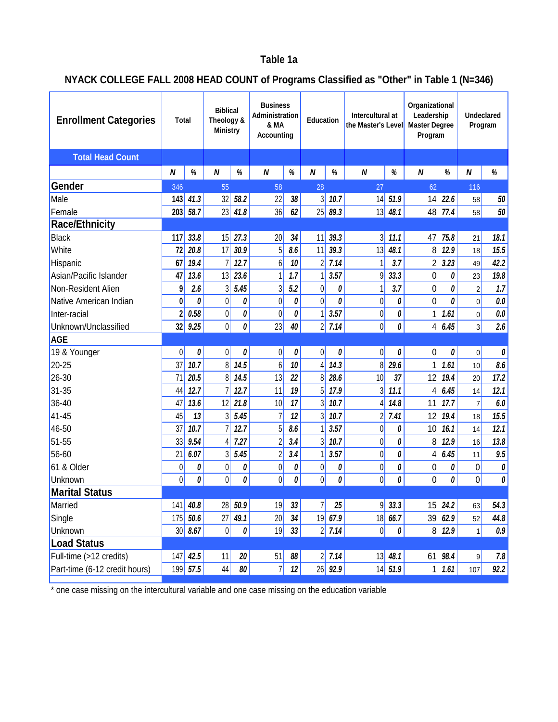### **Table 1a**

### **NYACK COLLEGE FALL 2008 HEAD COUNT of Programs Classified as "Other" in Table 1 (N=346)**

| <b>Enrollment Categories</b>  | Total                   |              | <b>Biblical</b><br>Theology &<br><b>Ministry</b> |          | <b>Business</b><br>Administration<br>& MA<br>Accounting |      | <b>Education</b>  |          | Intercultural at<br>the Master's Level |              | Organizational<br>Leadership<br><b>Master Degree</b><br>Program |                                                  | Undeclared<br>Program |         |
|-------------------------------|-------------------------|--------------|--------------------------------------------------|----------|---------------------------------------------------------|------|-------------------|----------|----------------------------------------|--------------|-----------------------------------------------------------------|--------------------------------------------------|-----------------------|---------|
| <b>Total Head Count</b>       |                         |              |                                                  |          |                                                         |      |                   |          |                                        |              |                                                                 |                                                  |                       |         |
|                               | N                       | $\%$         | N                                                | $\%$     | N                                                       | $\%$ | N                 | %        | N                                      | %            | N                                                               | %                                                | N                     | $\%$    |
| Gender                        | 346                     |              | 55                                               |          | 58                                                      |      | 28                |          | 27                                     |              | 62                                                              |                                                  | 116                   |         |
| Male                          | 143                     | 41.3         | 32                                               | 58.2     | 22                                                      | 38   | $\frac{3}{2}$     | 10.7     | 4                                      | 51.9         | 14                                                              | 22.6                                             | 58                    | 50      |
| Female                        | 203                     | 58.7         | 23                                               | 41.8     | 36                                                      | 62   | 25                | 89.3     | 13                                     | 48.1         | 48                                                              | 77.4                                             | 58                    | 50      |
| <b>Race/Ethnicity</b>         |                         |              |                                                  |          |                                                         |      |                   |          |                                        |              |                                                                 |                                                  |                       |         |
| <b>Black</b>                  | 117                     | 33.8         | 15                                               | 27.3     | 20                                                      | 34   | 11                | 39.3     | 3                                      | 11.1         | 47                                                              | 75.8                                             | 21                    | 18.1    |
| White                         | 72                      | 20.8         | 17                                               | 30.9     | 5                                                       | 8.6  | 11                | 39.3     | 13                                     | 48.1         | 8                                                               | 12.9                                             | 18                    | 15.5    |
| Hispanic                      | 67                      | 19.4         |                                                  | 12.7     | 6                                                       | 10   | 2                 | 7.14     | 1                                      | 3.7          | $\overline{c}$                                                  | 3.23                                             | 49                    | 42.2    |
| Asian/Pacific Islander        | 47                      | 13.6         | 13                                               | 23.6     | 1                                                       | 1.7  |                   | 3.57     | 9                                      | 33.3         | 0                                                               | 0                                                | 23                    | 19.8    |
| Non-Resident Alien            | 9                       | 2.6          | 3                                                | 5.45     | 3                                                       | 5.2  | $\overline{0}$    | 0        | 1                                      | 3.7          | 0                                                               | 0                                                | $\overline{2}$        | 1.7     |
| Native American Indian        | $\boldsymbol{0}$        | 0            | $\mathbf 0$                                      | 0        | $\overline{0}$                                          | 0    | $\overline{0}$    | 0        | $\overline{0}$                         | 0            | 0                                                               | 0                                                | 0                     | 0.0     |
| Inter-racial                  | $\overline{\mathbf{c}}$ | 0.58         | $\overline{0}$                                   | 0        | $\overline{0}$                                          | 0    |                   | 3.57     | $\vert 0 \vert$                        | 0            | 1                                                               | 1.61                                             | 0                     | $0.0\,$ |
| Unknown/Unclassified          | 32                      | 9.25         | $\overline{0}$                                   | 0        | 23                                                      | 40   | $\overline{2}$    | 7.14     | 0                                      | 0            | 4                                                               | 6.45                                             | 3 <sup>1</sup>        | 2.6     |
| <b>AGE</b>                    |                         |              |                                                  |          |                                                         |      |                   |          |                                        |              |                                                                 |                                                  |                       |         |
| 19 & Younger                  | $\overline{0}$          | 0            | 0                                                | 0        | 0                                                       | 0    | 0                 | 0        | 0                                      | 0            | 0                                                               | 0                                                | 0                     | 0       |
| 20-25                         | 37                      | 10.7         | 8                                                | 14.5     | 6                                                       | 10   | 4                 | 14.3     | $\frac{8}{3}$                          | 29.6         | 1                                                               | 1.61                                             | 10 <sup>1</sup>       | 8.6     |
| 26-30                         | 71                      | 20.5         | 8                                                | 14.5     | 13                                                      | 22   | 8                 | 28.6     | 10                                     | 37           | 12                                                              | 19.4                                             | 20                    | 17.2    |
| $31 - 35$                     | 44                      | 12.7         |                                                  | 12.7     | 11                                                      | 19   | 5                 | 17.9     | 3 <sup>1</sup>                         | 11.1         | 4                                                               | 6.45                                             | 14                    | 12.1    |
| 36-40                         | 47                      | 13.6         | 12                                               | 21.8     | 10                                                      | 17   | 3                 | 10.7     | 4                                      | 14.8         | 11                                                              | 17.7                                             | $\overline{7}$        | 6.0     |
| 41-45                         | 45                      | 13           | 3                                                | 5.45     | 7                                                       | 12   | $\frac{3}{2}$     | 10.7     | $\overline{2}$                         | 7.41         | 12                                                              | 19.4                                             | 18                    | 15.5    |
| 46-50                         | 37                      | 10.7         |                                                  | 12.7     | 5                                                       | 8.6  |                   | 3.57     | $\overline{0}$                         | 0            | 10                                                              | 16.1                                             | 14                    | 12.1    |
| 51-55                         | 33                      | 9.54         | 4                                                | 7.27     | $\overline{2}$                                          | 3.4  | 3                 | 10.7     | 0                                      | 0            | 8                                                               | 12.9                                             | 16                    | 13.8    |
| 56-60                         | 21                      | 6.07         | 3                                                | 5.45     | $\overline{2}$                                          | 3.4  |                   | 3.57     | 0                                      | 0            | 4                                                               | 6.45                                             | 11                    | 9.5     |
| 61 & Older                    | $\boldsymbol{0}$        | 0            | $\boldsymbol{0}$                                 | 0        | $\boldsymbol{0}$                                        | 0    | $\vert 0 \vert$   | 0        | $\vert 0 \vert$                        | 0            | 0                                                               | 0                                                | 0                     | 0       |
| Unknown                       | $\Omega$                | 0            | $\overline{0}$                                   | 0        | 0                                                       | 0    | $\overline{0}$    | 0        | 0                                      | 0            | 0                                                               | 0                                                | $\overline{0}$        | 0       |
| <b>Marital Status</b>         |                         |              |                                                  |          |                                                         |      |                   |          |                                        |              |                                                                 |                                                  |                       |         |
| Married                       |                         | $141$ 40.8   | 28                                               | 50.9     | 19                                                      | 33   | $\overline{\eta}$ | 25       | 9                                      | 33.3         |                                                                 | $\begin{array}{ c c }\n 15 & 24.2\n \end{array}$ | 63                    | 54.3    |
| Single                        | 175                     | 50.6         | 27                                               | 49.1     | 20                                                      | 34   |                   | 1967.9   |                                        | 186.7        | 39                                                              | 62.9                                             | 52                    | 44.8    |
| Unknown                       |                         | $30 \, 8.67$ | 0                                                | $\theta$ | 19                                                      | 33   |                   | $2$ 7.14 | 0                                      | 0            |                                                                 | $8$ 12.9                                         | 1                     | 0.9     |
| <b>Load Status</b>            |                         |              |                                                  |          |                                                         |      |                   |          |                                        |              |                                                                 |                                                  |                       |         |
| Full-time (>12 credits)       | 147                     | 42.5         | 11                                               | 20       | 51                                                      | 88   |                   | $2$ 7.14 |                                        | $13 \, 48.1$ | 61                                                              | 98.4                                             | 9                     | 7.8     |
| Part-time (6-12 credit hours) |                         | 199 57.5     | 44                                               | 80       | 7                                                       | 12   |                   | 26 92.9  |                                        | $14 \, 51.9$ | 1                                                               | 1.61                                             | 107                   | 92.2    |

\* one case missing on the intercultural variable and one case missing on the education variable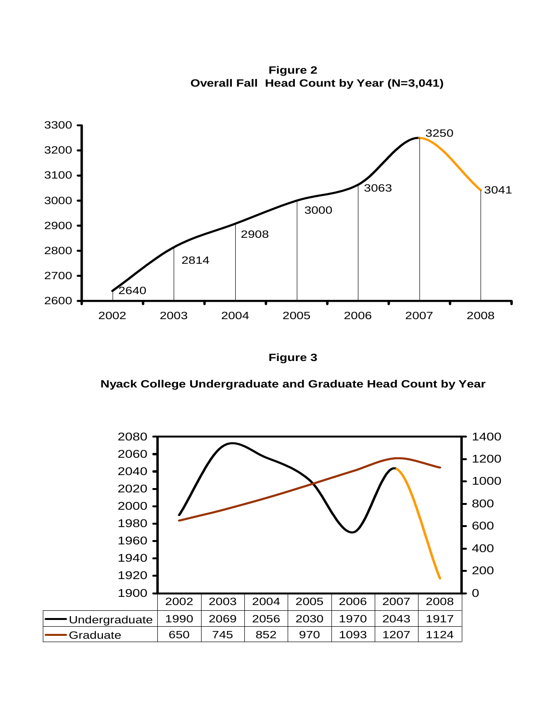**Overall Fall Head Count by Year (N=3,041) Figure 2**



**Figure 3**

 **Nyack College Undergraduate and Graduate Head Count by Year** 

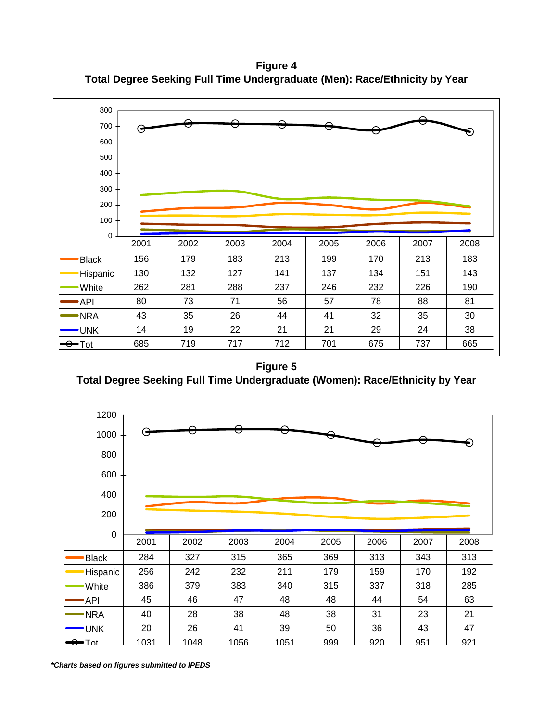**Figure 4 Total Degree Seeking Full Time Undergraduate (Men): Race/Ethnicity by Year**



**Figure 5 Total Degree Seeking Full Time Undergraduate (Women): Race/Ethnicity by Year**



*\*Charts based on figures submitted to IPEDS*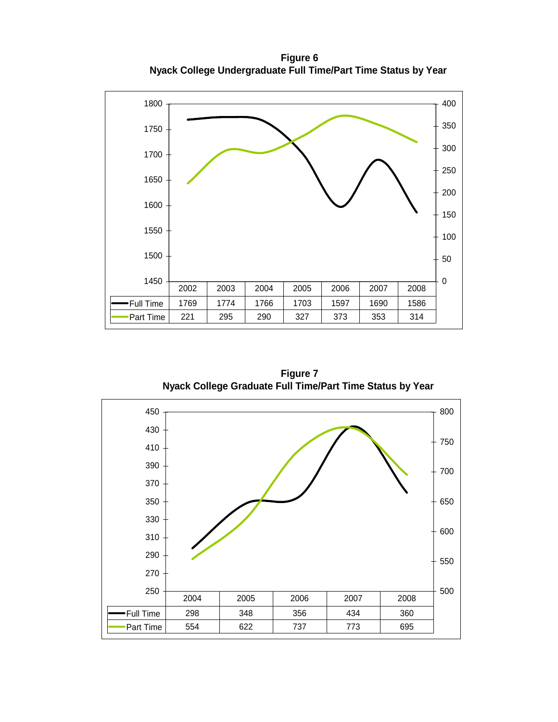**Figure 6 Nyack College Undergraduate Full Time/Part Time Status by Year**



**Figure 7 Nyack College Graduate Full Time/Part Time Status by Year** 

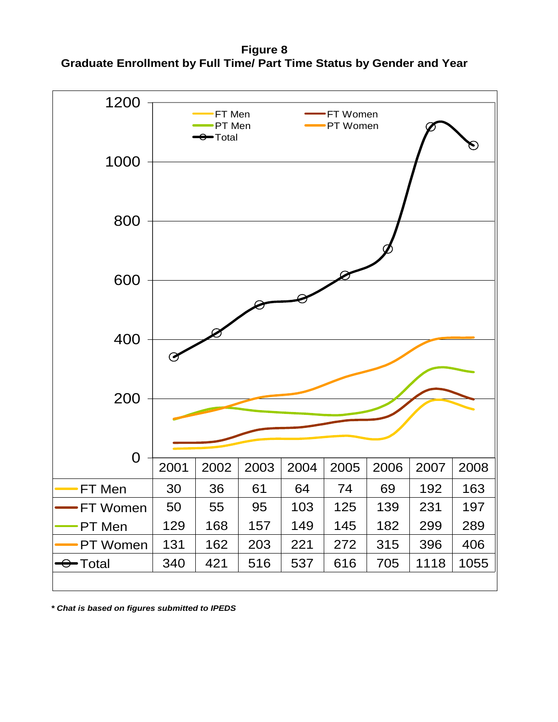**Figure 8 Graduate Enrollment by Full Time/ Part Time Status by Gender and Year**



*\* Chat is based on figures submitted to IPEDS*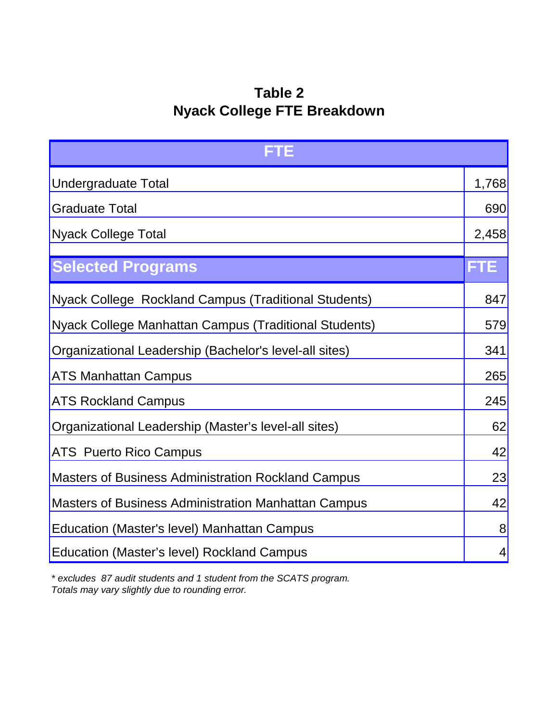### **Table 2 Nyack College FTE Breakdown**

| FTE                                                        |            |  |  |  |  |  |
|------------------------------------------------------------|------------|--|--|--|--|--|
| <b>Undergraduate Total</b>                                 | 1,768      |  |  |  |  |  |
| <b>Graduate Total</b>                                      |            |  |  |  |  |  |
| <b>Nyack College Total</b>                                 |            |  |  |  |  |  |
| <b>Selected Programs</b>                                   | <b>FTE</b> |  |  |  |  |  |
| Nyack College Rockland Campus (Traditional Students)       | 847        |  |  |  |  |  |
| Nyack College Manhattan Campus (Traditional Students)      |            |  |  |  |  |  |
| Organizational Leadership (Bachelor's level-all sites)     |            |  |  |  |  |  |
| <b>ATS Manhattan Campus</b>                                |            |  |  |  |  |  |
| <b>ATS Rockland Campus</b>                                 | 245        |  |  |  |  |  |
| Organizational Leadership (Master's level-all sites)       | 62         |  |  |  |  |  |
| <b>ATS Puerto Rico Campus</b>                              | 42         |  |  |  |  |  |
| <b>Masters of Business Administration Rockland Campus</b>  | 23         |  |  |  |  |  |
| <b>Masters of Business Administration Manhattan Campus</b> | 42         |  |  |  |  |  |
| Education (Master's level) Manhattan Campus                | 8          |  |  |  |  |  |
| <b>Education (Master's level) Rockland Campus</b>          | 4          |  |  |  |  |  |

*\* excludes 87 audit students and 1 student from the SCATS program. Totals may vary slightly due to rounding error.*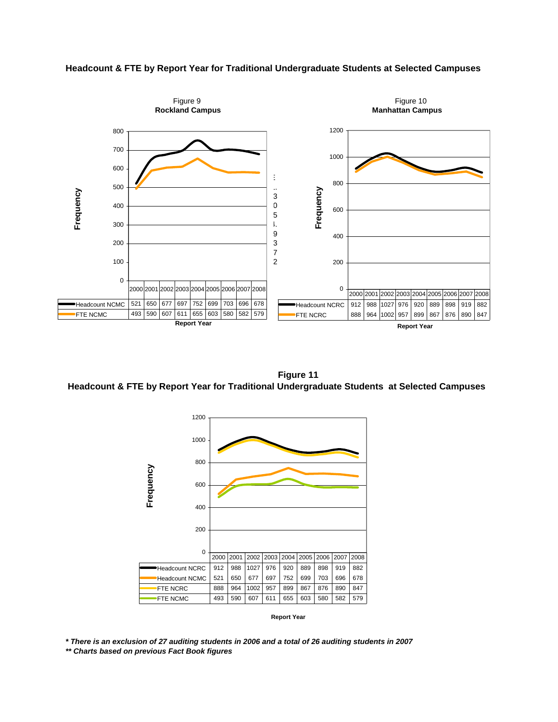#### **Headcount & FTE by Report Year for Traditional Undergraduate Students at Selected Campuses**



 **Figure 11 Headcount & FTE by Report Year for Traditional Undergraduate Students at Selected Campuses**



**Report Year**

*\* There is an exclusion of 27 auditing students in 2006 and a total of 26 auditing students in 2007 \*\* Charts based on previous Fact Book figures*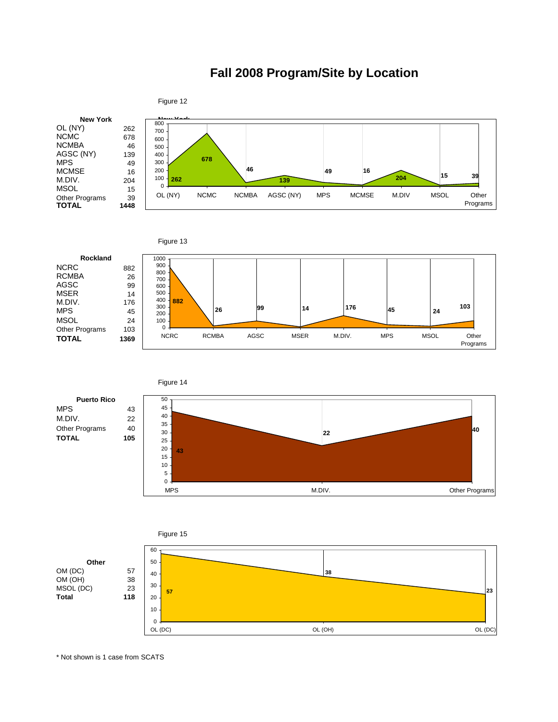### **Fall 2008 Program/Site by Location**







0 5 10



MPS M.DIV. MODIV. CHARGE STATES Of METHODS AND MODIVE AND METHODS OF A STATES OF A STATES OF A STATES OF A STATES OF A STATES OF A STATES OF A STATES OF A STATES OF A STATES OF A STATES OF A STATES OF A STATES OF A STATES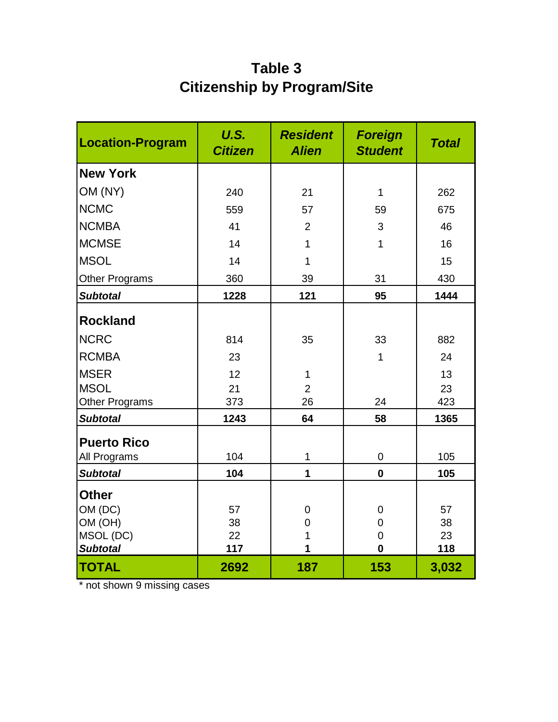### **Table 3 Citizenship by Program/Site**

| <b>Location-Program</b> | U.S.<br><b>Citizen</b> | <b>Resident</b><br><b>Alien</b> | <b>Foreign</b><br><b>Student</b> | <b>Total</b> |
|-------------------------|------------------------|---------------------------------|----------------------------------|--------------|
| <b>New York</b>         |                        |                                 |                                  |              |
| OM (NY)                 | 240                    | 21                              | $\mathbf{1}$                     | 262          |
| <b>NCMC</b>             | 559                    | 57                              | 59                               | 675          |
| <b>NCMBA</b>            | 41                     | $\overline{2}$                  | 3                                | 46           |
| <b>MCMSE</b>            | 14                     | 1                               | $\mathbf{1}$                     | 16           |
| <b>MSOL</b>             | 14                     | 1                               |                                  | 15           |
| <b>Other Programs</b>   | 360                    | 39                              | 31                               | 430          |
| <b>Subtotal</b>         | 1228                   | 121                             | 95                               | 1444         |
| <b>Rockland</b>         |                        |                                 |                                  |              |
| <b>NCRC</b>             | 814                    | 35                              | 33                               | 882          |
| <b>RCMBA</b>            | 23                     |                                 | $\mathbf 1$                      | 24           |
| <b>MSER</b>             | 12                     | 1                               |                                  | 13           |
| <b>MSOL</b>             | 21                     | $\overline{2}$                  |                                  | 23           |
| <b>Other Programs</b>   | 373                    | 26                              | 24                               | 423          |
| <b>Subtotal</b>         | 1243                   | 64                              | 58                               | 1365         |
| <b>Puerto Rico</b>      |                        |                                 |                                  |              |
| All Programs            | 104                    | 1                               | $\mathbf 0$                      | 105          |
| <b>Subtotal</b>         | 104                    | 1                               | $\mathbf 0$                      | 105          |
| <b>Other</b>            |                        |                                 |                                  |              |
| OM (DC)                 | 57                     | $\overline{0}$                  | 0                                | 57           |
| OM (OH)                 | 38                     | $\overline{0}$                  | $\mathbf 0$                      | 38           |
| MSOL (DC)               | 22                     | 1                               | $\overline{0}$                   | 23           |
| <b>Subtotal</b>         | 117                    | 1                               | $\mathbf 0$                      | 118          |
| <b>TOTAL</b>            | 2692                   | 187                             | 153                              | 3,032        |

\* not shown 9 missing cases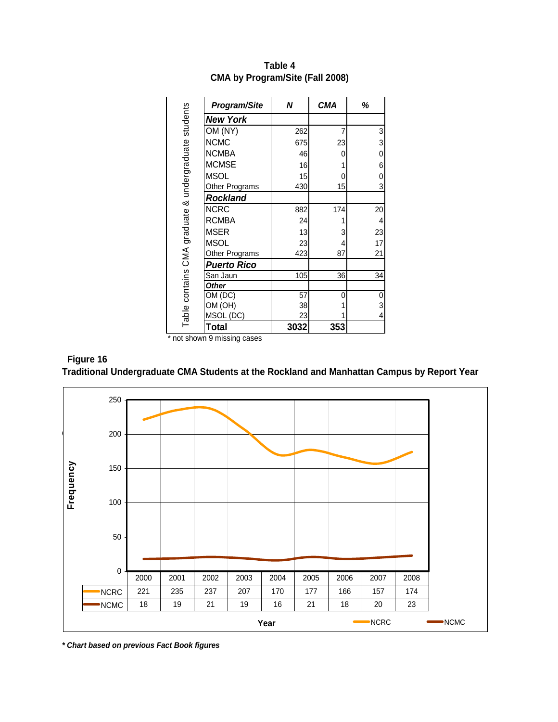|                                                      | Program/Site       | N    | <b>CMA</b> | ℅  |
|------------------------------------------------------|--------------------|------|------------|----|
| Table contains CMA graduate & undergraduate students | <b>New York</b>    |      |            |    |
|                                                      | OM (NY)            | 262  | 7          | 3  |
|                                                      | <b>NCMC</b>        | 675  | 23         | 3  |
|                                                      | <b>NCMBA</b>       | 46   | 0          | 0  |
|                                                      | <b>MCMSE</b>       | 16   |            | 6  |
|                                                      | <b>MSOL</b>        | 15   | 0          | 0  |
|                                                      | Other Programs     | 430  | 15         | 3  |
|                                                      | <b>Rockland</b>    |      |            |    |
|                                                      | <b>NCRC</b>        | 882  | 174        | 20 |
|                                                      | <b>RCMBA</b>       | 24   |            | 4  |
|                                                      | <b>MSER</b>        | 13   | 3          | 23 |
|                                                      | <b>MSOL</b>        | 23   | 4          | 17 |
|                                                      | Other Programs     | 423  | 87         | 21 |
|                                                      | <b>Puerto Rico</b> |      |            |    |
|                                                      | San Jaun           | 105  | 36         | 34 |
|                                                      | <b>Other</b>       |      |            |    |
|                                                      | OM (DC)            | 57   | 0          | 0  |
|                                                      | OM (OH)            | 38   |            | 3  |
|                                                      | MSOL (DC)          | 23   |            | 4  |
|                                                      | <b>Total</b>       | 3032 | 353        |    |

**Table 4 CMA by Program/Site (Fall 2008)**

\* not shown 9 missing cases

### **Figure 16 Traditional Undergraduate CMA Students at the Rockland and Manhattan Campus by Report Year**



*\* Chart based on previous Fact Book figures*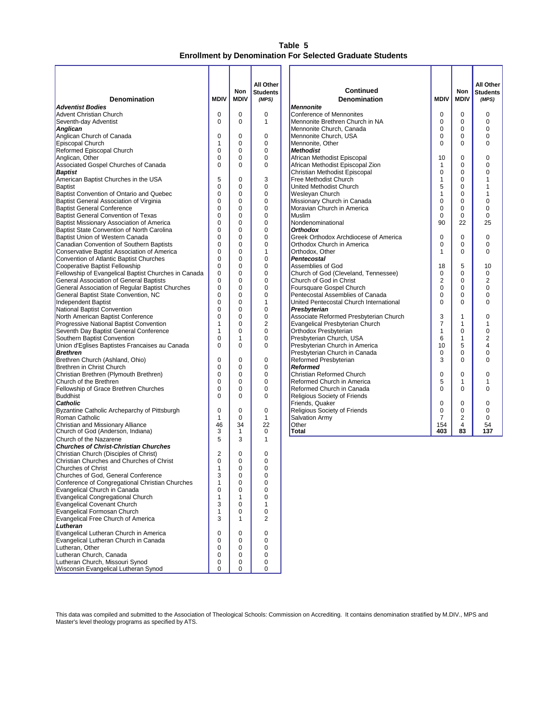#### **Table 5 Enrollment by Denomination For Selected Graduate Students**

| <b>Denomination</b>                                                                        | <b>MDIV</b>         | Non<br><b>MDIV</b> | All Other<br><b>Students</b> | <b>Continued</b><br><b>Denomination</b>                      | <b>MDIV</b>                   | Non<br><b>MDIV</b> | All Other<br><b>Students</b> |
|--------------------------------------------------------------------------------------------|---------------------|--------------------|------------------------------|--------------------------------------------------------------|-------------------------------|--------------------|------------------------------|
| <b>Adventist Bodies</b>                                                                    |                     |                    | (MPS)                        | <b>Mennonite</b>                                             |                               |                    | (MPS)                        |
| <b>Advent Christian Church</b>                                                             | $\mathbf 0$         | 0                  | 0                            | Conference of Mennonites                                     | $\mathbf 0$                   | 0                  | $\Omega$                     |
| Seventh-day Adventist                                                                      | $\Omega$            | $\Omega$           | 1                            | Mennonite Brethren Church in NA                              | 0                             | 0                  | 0                            |
| Anglican                                                                                   |                     |                    |                              | Mennonite Church, Canada                                     | 0                             | 0                  | 0                            |
| Anglican Church of Canada                                                                  | $\mathbf 0$         | 0                  | 0                            | Mennonite Church, USA                                        | $\mathbf 0$                   | 0                  | 0                            |
| Episcopal Church                                                                           | 1                   | 0                  | 0                            | Mennonite, Other                                             | $\Omega$                      | $\Omega$           | 0                            |
| Reformed Episcopal Church                                                                  | 0                   | 0                  | 0                            | <b>Methodist</b>                                             |                               |                    |                              |
| Anglican, Other                                                                            | 0                   | 0                  | 0                            | African Methodist Episcopal                                  | 10                            | 0                  | $\Omega$                     |
| Associated Gospel Churches of Canada                                                       | $\Omega$            | $\Omega$           | 0                            | African Methodist Episcopal Zion                             | $\mathbf 1$                   | 0                  | 0                            |
| <b>Baptist</b>                                                                             |                     |                    |                              | Christian Methodist Episcopal                                | 0                             | 0                  | 0                            |
| American Baptist Churches in the USA<br>Baptist                                            | 5<br>0              | 0<br>0             | 3<br>0                       | Free Methodist Church<br>United Methodist Church             | $\mathbf{1}$<br>5             | 0<br>0             |                              |
| Baptist Convention of Ontario and Quebec                                                   | 0                   | 0                  | 0                            | Wesleyan Church                                              | $\mathbf{1}$                  | 0                  |                              |
| Baptist General Association of Virginia                                                    | 0                   | 0                  | 0                            | Missionary Church in Canada                                  | $\mathbf 0$                   | 0                  | 0                            |
| <b>Baptist General Conference</b>                                                          | 0                   | 0                  | 0                            | Moravian Church in America                                   | $\mathbf 0$                   | 0                  | 0                            |
| <b>Baptist General Convention of Texas</b>                                                 | 0                   | 0                  | 0                            | <b>Muslim</b>                                                | $\mathbf 0$                   | 0                  | $\Omega$                     |
| Baptist Missionary Association of America                                                  | 0                   | 0                  | 0                            | Nondenominational                                            | 90                            | 22                 | 25                           |
| Baptist State Convention of North Carolina                                                 | 0                   | 0                  | 0                            | <b>Orthodox</b>                                              |                               |                    |                              |
| Baptist Union of Western Canada                                                            | 0                   | 0                  | 0                            | Greek Orthodox Archdiocese of America                        | $\mathbf 0$                   | 0                  | 0                            |
| Canadian Convention of Southern Baptists                                                   | $\Omega$            | 0                  | 0                            | Orthodox Church in America                                   | 0                             | 0                  | $\Omega$                     |
| Conservative Baptist Association of America                                                | 0                   | 0                  | 1                            | Orthodox. Other                                              | $\mathbf{1}$                  | 0                  | 0                            |
| Convention of Atlantic Baptist Churches                                                    | 0                   | 0                  | 0                            | <b>Pentecostal</b>                                           |                               |                    |                              |
| Cooperative Baptist Fellowship                                                             | 0                   | 0                  | 0                            | Assemblies of God                                            | 18                            | 5                  | 10                           |
| Fellowship of Evangelical Baptist Churches in Canada                                       | 0                   | 0                  | 0                            | Church of God (Cleveland, Tennessee)                         | 0                             | 0                  | 0                            |
| General Association of General Baptists<br>General Association of Regular Baptist Churches | 0<br>0              | 0<br>0             | 0<br>0                       | Church of God in Christ                                      | $\overline{2}$<br>$\mathbf 0$ | 0<br>0             | 2<br>$\Omega$                |
| General Baptist State Convention, NC                                                       | 0                   | 0                  | 0                            | Foursquare Gospel Church<br>Pentecostal Assemblies of Canada | $\mathbf 0$                   | 0                  | 0                            |
| Independent Baptist                                                                        | 0                   | 0                  | 1                            | United Pentecostal Church International                      | 0                             | 0                  | 0                            |
| National Baptist Convention                                                                | 0                   | 0                  | 0                            | Presbyterian                                                 |                               |                    |                              |
| North American Baptist Conference                                                          | 0                   | 0                  | 0                            | Associate Reformed Presbyterian Church                       | 3                             | 1                  | $\Omega$                     |
| <b>Progressive National Baptist Convention</b>                                             | 1                   | 0                  | $\overline{2}$               | Evangelical Presbyterian Church                              | $\overline{7}$                | 1                  | 1                            |
| Seventh Day Baptist General Conference                                                     | 1                   | 0                  | 0                            | Orthodox Presbyterian                                        | $\mathbf{1}$                  | 0                  | 0                            |
| Southern Baptist Convention                                                                | 0                   | 1                  | 0                            | Presbyterian Church, USA                                     | 6                             | $\mathbf{1}$       | 2                            |
| Union d'Eglises Baptistes Francaises au Canada                                             | $\Omega$            | $\Omega$           | 0                            | Presbyterian Church in America                               | 10                            | 5                  | 4                            |
| <b>Brethren</b>                                                                            |                     |                    |                              | Presbyterian Church in Canada                                | 0                             | 0                  | 0                            |
| Brethren Church (Ashland, Ohio)                                                            | 0                   | 0                  | 0                            | Reformed Presbyterian                                        | 3                             | 0                  | 0                            |
| Brethren in Christ Church<br>Christian Brethren (Plymouth Brethren)                        | 0<br>0              | 0<br>0             | 0<br>0                       | <b>Reformed</b><br>Christian Reformed Church                 | 0                             | 0                  | $\Omega$                     |
| Church of the Brethren                                                                     | 0                   | 0                  | 0                            | Reformed Church in America                                   | 5                             | 1                  | 1                            |
| Fellowship of Grace Brethren Churches                                                      | 0                   | 0                  | 0                            | Reformed Church in Canada                                    | $\Omega$                      | $\Omega$           | 0                            |
| Buddhist                                                                                   | $\Omega$            | 0                  | 0                            | Religious Society of Friends                                 |                               |                    |                              |
| <b>Catholic</b>                                                                            |                     |                    |                              | Friends, Quaker                                              | $\mathbf 0$                   | 0                  | 0                            |
| Byzantine Catholic Archeparchy of Pittsburgh                                               | 0                   | 0                  | 0                            | Religious Society of Friends                                 | 0                             | 0                  | 0                            |
| Roman Catholic                                                                             | 1                   | 0                  | 1                            | <b>Salvation Army</b>                                        | $\overline{7}$                | 2                  | 0                            |
| Christian and Missionary Alliance                                                          | 46                  | 34                 | 22                           | Other                                                        | 154                           | 4                  | 54                           |
| Church of God (Anderson, Indiana)                                                          | 3                   | 1                  | 0                            | Total                                                        | 403                           | 83                 | 137                          |
| Church of the Nazarene                                                                     | 5                   | 3                  | 1                            |                                                              |                               |                    |                              |
| <b>Churches of Christ-Christian Churches</b><br>Christian Church (Disciples of Christ)     |                     |                    |                              |                                                              |                               |                    |                              |
| Christian Churches and Churches of Christ                                                  | $\overline{2}$<br>0 | 0<br>0             | 0<br>0                       |                                                              |                               |                    |                              |
| <b>Churches of Christ</b>                                                                  | 1                   | 0                  | 0                            |                                                              |                               |                    |                              |
| Churches of God, General Conference                                                        | 3                   | $\Omega$           | 0                            |                                                              |                               |                    |                              |
| Conference of Congregational Christian Churches                                            | 1                   | 0                  | 0                            |                                                              |                               |                    |                              |
| Evangelical Church in Canada                                                               | 0                   | 0                  | 0                            |                                                              |                               |                    |                              |
| <b>Evangelical Congregational Church</b>                                                   | 1                   | 1                  | 0                            |                                                              |                               |                    |                              |
| <b>Evangelical Covenant Church</b>                                                         | 3                   | 0                  | 1                            |                                                              |                               |                    |                              |
| Evangelical Formosan Church                                                                | 1                   | 0                  | 0                            |                                                              |                               |                    |                              |
| Evangelical Free Church of America                                                         | 3                   | 1                  | 2                            |                                                              |                               |                    |                              |
| Lutheran                                                                                   |                     |                    |                              |                                                              |                               |                    |                              |
| Evangelical Lutheran Church in America<br>Evangelical Lutheran Church in Canada            | 0<br>0              | 0<br>0             | 0<br>0                       |                                                              |                               |                    |                              |
| Lutheran, Other                                                                            | 0                   | 0                  | 0                            |                                                              |                               |                    |                              |
| Lutheran Church, Canada                                                                    | 0                   | 0                  | 0                            |                                                              |                               |                    |                              |
| Lutheran Church, Missouri Synod                                                            | 0                   | 0                  | 0                            |                                                              |                               |                    |                              |
| Wisconsin Evangelical Lutheran Synod                                                       | 0                   | 0                  | 0                            |                                                              |                               |                    |                              |

This data was compiled and submitted to the Association of Theological Schools: Commission on Accrediting. It contains denomination stratified by M.DIV., MPS and Master's level theology programs as specified by ATS.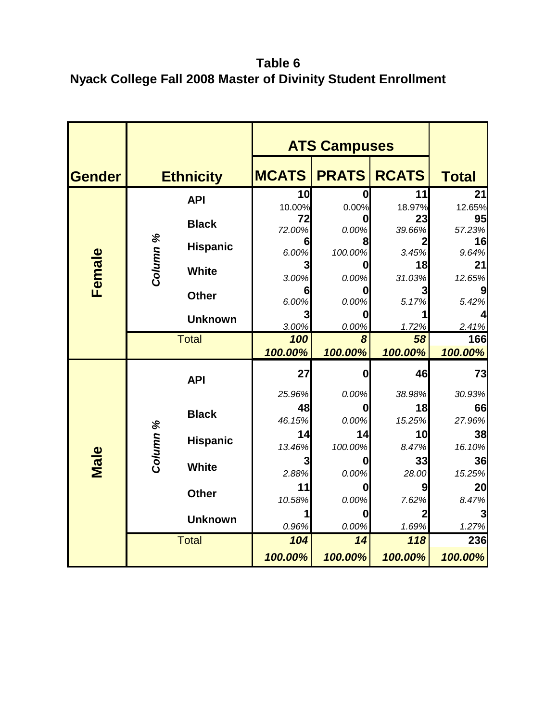**Table 6 Nyack College Fall 2008 Master of Divinity Student Enrollment** 

|               |                 |                  | <b>ATS Campuses</b> |               |                |              |
|---------------|-----------------|------------------|---------------------|---------------|----------------|--------------|
| <b>Gender</b> |                 | <b>Ethnicity</b> | <b>MCATS</b>        | <b>PRATS</b>  | <b>RCATS</b>   | <b>Total</b> |
|               |                 | <b>API</b>       | 10                  | 0             | 11             | 21           |
|               |                 |                  | 10.00%<br>72        | 0.00%         | 18.97%<br>23   | 12.65%<br>95 |
|               |                 | <b>Black</b>     | 72.00%              | 0.00%         | 39.66%         | 57.23%       |
| Column %      | <b>Hispanic</b> | 6                |                     |               | 16             |              |
|               |                 |                  | 6.00%<br>3          | 100.00%       | 3.45%<br>18    | 9.64%<br>21  |
| Female        |                 | <b>White</b>     | 3.00%               | 0.00%         | 31.03%         | 12.65%       |
|               |                 | <b>Other</b>     | 6                   |               |                |              |
|               |                 |                  | 6.00%               | 0.00%         | 5.17%          | 5.42%        |
|               | <b>Unknown</b>  | 3<br>3.00%       | 0.00%               | 1.72%         | 2.41%          |              |
|               |                 | <b>Total</b>     | 100                 | 8             | 58             | 166          |
|               |                 |                  | 100.00%             | 100.00%       | 100.00%        | 100.00%      |
|               |                 | <b>API</b>       | 27                  | Ω             | 46             | 73           |
|               |                 |                  | 25.96%              | 0.00%         | 38.98%         | 30.93%       |
|               |                 | <b>Black</b>     | 48                  | O             | 18             | 66           |
|               |                 |                  | 46.15%<br>14        | 0.00%         | 15.25%         | 27.96%       |
|               |                 | <b>Hispanic</b>  | 13.46%              | 14<br>100.00% | 10<br>8.47%    | 38<br>16.10% |
| Male          | Column %        |                  | 3                   |               | 33             | 36           |
|               |                 | <b>White</b>     | 2.88%               | 0.00%         | 28.00          | 15.25%       |
|               |                 | <b>Other</b>     | 11                  |               | 9              | 20           |
|               |                 |                  | 10.58%              | 0.00%         | 7.62%          | 8.47%        |
|               |                 | <b>Unknown</b>   | 1<br>0.96%          | 0<br>0.00%    | $\overline{2}$ | 3            |
|               |                 | <b>Total</b>     | 104                 | 14            | 1.69%<br>118   | 1.27%<br>236 |
|               |                 |                  | 100.00%             | 100.00%       | 100.00%        | 100.00%      |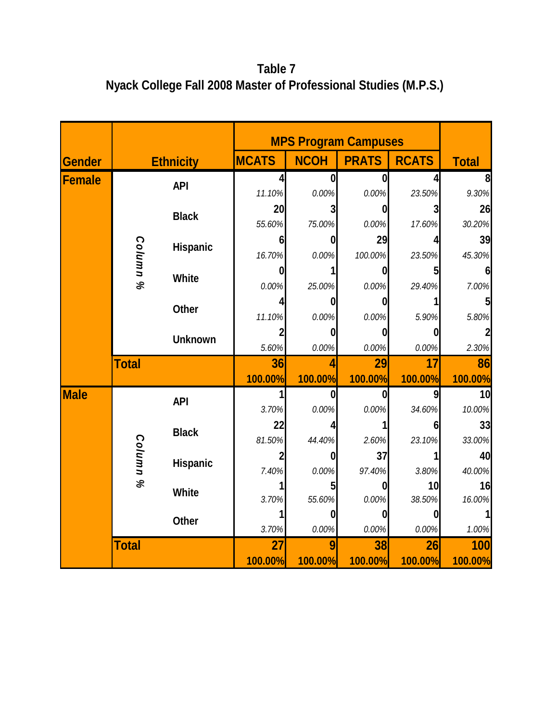**Table 7 Nyack College Fall 2008 Master of Professional Studies (M.P.S.)**

|               |              |                  |                | <b>MPS Program Campuses</b> |                  |              |              |
|---------------|--------------|------------------|----------------|-----------------------------|------------------|--------------|--------------|
| <b>Gender</b> |              | <b>Ethnicity</b> | <b>MCATS</b>   | <b>NCOH</b>                 | <b>PRATS</b>     | <b>RCATS</b> | <b>Total</b> |
| <b>Female</b> |              | <b>API</b>       | Δ              | Λ                           | $\bf{0}$         |              |              |
|               |              |                  | 11.10%         | 0.00%                       | 0.00%            | 23.50%       | 9.30%        |
|               |              | <b>Black</b>     | 20             | 3                           | $\boldsymbol{0}$ |              | 26           |
|               |              |                  | 55.60%         | 75.00%                      | 0.00%            | 17.60%       | 30.20%       |
|               |              | <b>Hispanic</b>  | 6              | 0                           | 29               |              | 39           |
|               |              |                  | 16.70%         | 0.00%                       | 100.00%          | 23.50%       | 45.30%       |
|               | Column %     | <b>White</b>     | 0              |                             | 0                |              | 6            |
|               |              |                  | 0.00%          | 25.00%                      | 0.00%            | 29.40%       | 7.00%        |
|               |              | <b>Other</b>     |                | 0                           | 0                |              |              |
|               |              |                  | 11.10%         | 0.00%                       | 0.00%            | 5.90%        | 5.80%        |
|               |              |                  | <b>Unknown</b> | 5.60%                       | 0<br>0.00%       | 0<br>0.00%   | 0.00%        |
|               | <b>Total</b> |                  | 36             | 4                           | 29               | 17           | 86           |
|               |              |                  | 100.00%        | 100.00%                     | 100.00%          | 100.00%      | 100.00%      |
| <b>Male</b>   |              | <b>API</b>       |                | 0                           | $\mathbf 0$      | 9            | 10           |
|               |              |                  | 3.70%          | 0.00%                       | 0.00%            | 34.60%       | 10.00%       |
|               |              | <b>Black</b>     | 22             |                             | 1                |              | 33           |
|               |              |                  | 81.50%         | 44.40%                      | 2.60%            | 23.10%       | 33.00%       |
|               | Column %     | <b>Hispanic</b>  |                | 0                           | 37               |              | 40           |
|               |              |                  | 7.40%          | 0.00%                       | 97.40%           | 3.80%        | 40.00%       |
|               |              | White            |                | 5                           | $\boldsymbol{0}$ | 10           | 16           |
|               |              |                  | 3.70%          | 55.60%                      | 0.00%            | 38.50%       | 16.00%       |
|               |              | <b>Other</b>     |                | Ω                           | $\mathbf{0}$     |              |              |
|               |              |                  | 3.70%          | 0.00%                       | 0.00%            | 0.00%        | 1.00%        |
|               | <b>Total</b> |                  | 27             | 9                           | 38               | 26           | 100          |
|               |              |                  | 100.00%        | 100.00%                     | 100.00%          | 100.00%      | 100.00%      |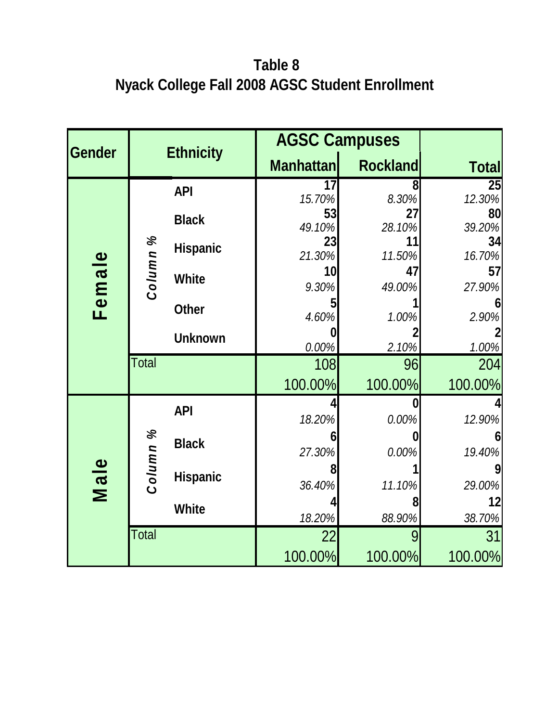### **Table 8 Nyack College Fall 2008 AGSC Student Enrollment**

|               |              |                  |                  | <b>AGSC Campuses</b> |              |  |  |  |  |
|---------------|--------------|------------------|------------------|----------------------|--------------|--|--|--|--|
| <b>Gender</b> |              | <b>Ethnicity</b> | <b>Manhattan</b> | <b>Rockland</b>      | <b>Total</b> |  |  |  |  |
|               |              | <b>API</b>       | 17<br>15.70%     | 8<br>8.30%           | 25<br>12.30% |  |  |  |  |
|               |              | <b>Black</b>     | 53               | 27                   | 80           |  |  |  |  |
|               | $\%$         |                  | 49.10%           | 28.10%               | 39.20%       |  |  |  |  |
|               |              | <b>Hispanic</b>  | 23<br>21.30%     | 11<br>11.50%         | 34<br>16.70% |  |  |  |  |
|               |              |                  | 10               | 47                   | 57           |  |  |  |  |
|               | Column       | <b>White</b>     | 9.30%            | 49.00%               | 27.90%       |  |  |  |  |
| Female        |              | <b>Other</b>     | 4.60%            | 1.00%                | 2.90%        |  |  |  |  |
|               |              |                  |                  |                      |              |  |  |  |  |
|               |              | <b>Unknown</b>   | 0.00%            | 2.10%                | 1.00%        |  |  |  |  |
|               | <b>Total</b> |                  | 108              | 96                   | 204          |  |  |  |  |
|               |              |                  | 100.00%          | 100.00%              | 100.00%      |  |  |  |  |
|               |              | <b>API</b>       |                  |                      |              |  |  |  |  |
|               |              |                  | 18.20%           | 0.00%                | 12.90%       |  |  |  |  |
|               |              | <b>Black</b>     | 27.30%           | 0.00%                | 6<br>19.40%  |  |  |  |  |
|               |              |                  |                  |                      |              |  |  |  |  |
| Male          | Column %     | <b>Hispanic</b>  | 36.40%           | 11.10%               | 29.00%       |  |  |  |  |
|               |              | <b>White</b>     |                  |                      | 12           |  |  |  |  |
|               |              |                  | 18.20%           | 88.90%               | 38.70%       |  |  |  |  |
|               | Total        |                  | 22               |                      | 31           |  |  |  |  |
|               |              |                  | 100.00%          | 100.00%              | 100.00%      |  |  |  |  |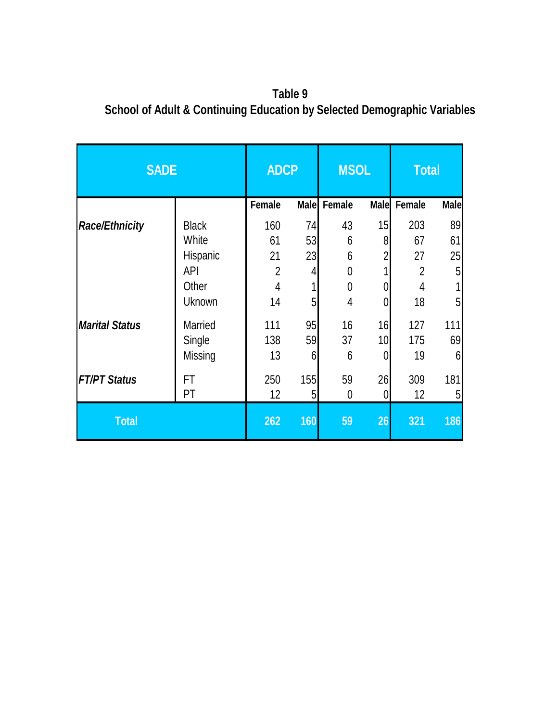**Table 9 School of Adult & Continuing Education by Selected Demographic Variables**

| <b>SADE</b>           | <b>ADCP</b>    |                | <b>MSOL</b> |        | <b>Total</b>    |                |             |
|-----------------------|----------------|----------------|-------------|--------|-----------------|----------------|-------------|
|                       |                | <b>Female</b>  | <b>Male</b> | Female | <b>Male</b>     | Female         | <b>Male</b> |
| <b>Race/Ethnicity</b> | <b>Black</b>   | 160            | 74          | 43     | 15              | 203            | 89          |
|                       | White          | 61             | 53          | 6      | 8               | 67             | 61          |
|                       | Hispanic       | 21             | 23          | 6      | $\overline{2}$  | 27             | 25          |
|                       | <b>API</b>     | $\overline{2}$ | 4           | 0      |                 | $\overline{2}$ | 5           |
|                       | Other          | $\overline{4}$ |             | 0      | $\overline{0}$  | 4              |             |
|                       | Uknown         | 14             | 5           | 4      | 0               | 18             | 5           |
| <b>Marital Status</b> | <b>Married</b> | 111            | 95          | 16     | 16              | 127            | 111         |
|                       | Single         | 138            | 59          | 37     | 10 <sub>l</sub> | 175            | 69          |
|                       | Missing        | 13             | 6           | 6      | 0               | 19             | 6           |
| <b>FT/PT Status</b>   | FT             | 250            | 155         | 59     | 26              | 309            | 181         |
|                       | PT             | 12             | 5           | 0      | 0               | 12             | 5           |
| <b>Total</b>          |                | 262            | 160         | 59     | 26              | 321            | 186         |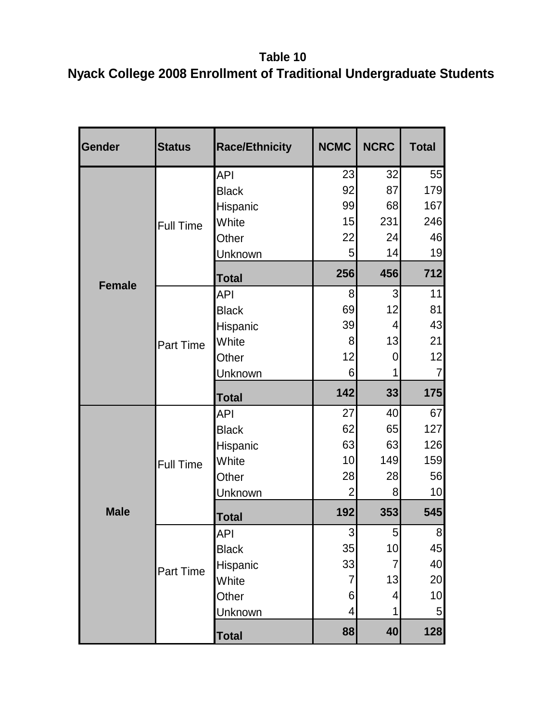**Table 10 Nyack College 2008 Enrollment of Traditional Undergraduate Students** 

| <b>Gender</b> | <b>Status</b>    | <b>Race/Ethnicity</b> | <b>NCMC</b>    | <b>NCRC</b>    | <b>Total</b>    |
|---------------|------------------|-----------------------|----------------|----------------|-----------------|
|               |                  | <b>API</b>            | 23             | 32             | 55              |
|               |                  | <b>Black</b>          | 92             | 87             | 179             |
|               |                  | Hispanic              | 99             | 68             | 167             |
|               | <b>Full Time</b> | White                 | 15             | 231            | 246             |
|               |                  | Other                 | 22             | 24             | 46              |
|               |                  | Unknown               | 5              | 14             | 19              |
| <b>Female</b> |                  | <b>Total</b>          | 256            | 456            | 712             |
|               |                  | <b>API</b>            | 8              | $\overline{3}$ | 11              |
|               |                  | <b>Black</b>          | 69             | 12             | 81              |
|               |                  | Hispanic              | 39             | 4              | 43              |
|               | Part Time        | White                 | 8              | 13             | 21              |
|               |                  | Other                 | 12             | 0              | 12              |
|               |                  | Unknown               | 6              | 1              | $\overline{7}$  |
|               |                  | <b>Total</b>          | 142            | 33             | 175             |
|               |                  | <b>API</b>            | 27             | 40             | 67              |
|               | <b>Full Time</b> | <b>Black</b>          | 62             | 65             | 127             |
|               |                  | Hispanic              | 63             | 63             | 126             |
|               |                  | White                 | 10             | 149            | 159             |
|               |                  | Other                 | 28             | 28             | 56              |
|               |                  | Unknown               | $\overline{2}$ | 8              | 10              |
| <b>Male</b>   |                  | <b>Total</b>          | 192            | 353            | 545             |
|               |                  | <b>API</b>            | 3 <sup>1</sup> | 5 <sub>l</sub> | 8 <sup>1</sup>  |
|               |                  | <b>Black</b>          | 35             | 10             | 45              |
|               | <b>Part Time</b> | Hispanic              | 33             | 7              | 40              |
|               |                  | White                 | $\overline{7}$ | 13             | 20              |
|               |                  | Other                 | 6              | 4              | 10              |
|               |                  | Unknown               | 4              | 1              | $5\overline{)}$ |
|               |                  | <b>Total</b>          | 88             | 40             | 128             |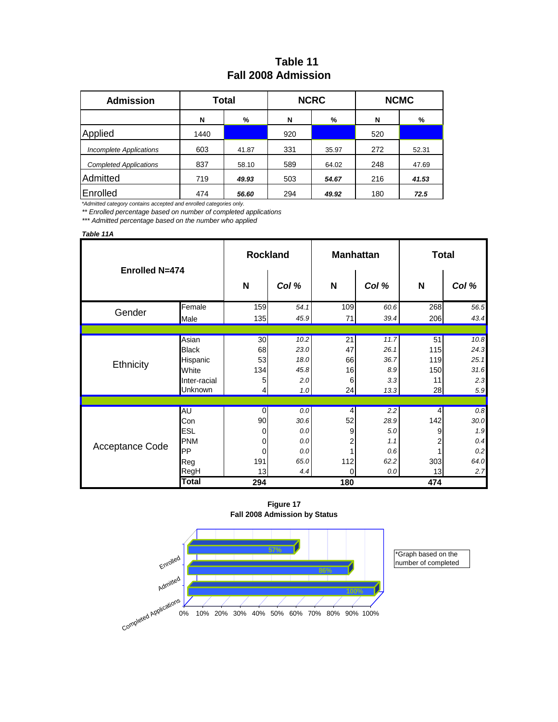### **Table 11 Fall 2008 Admission**

| <b>Admission</b>              |      | Total |     | <b>NCRC</b> | <b>NCMC</b> |       |  |
|-------------------------------|------|-------|-----|-------------|-------------|-------|--|
|                               | N    | %     | N   | %           | N           | %     |  |
| Applied                       | 1440 |       | 920 |             | 520         |       |  |
| Incomplete Applications       | 603  | 41.87 | 331 | 35.97       | 272         | 52.31 |  |
| <b>Completed Applications</b> | 837  | 58.10 | 589 | 64.02       | 248         | 47.69 |  |
| Admitted                      | 719  | 49.93 | 503 | 54.67       | 216         | 41.53 |  |
| Enrolled                      | 474  | 56.60 | 294 | 49.92       | 180         | 72.5  |  |

*\*Admitted category contains accepted and enrolled categories only.*

*\*\* Enrolled percentage based on number of completed applications*

*\*\*\* Admitted percentage based on the number who applied*

#### *Table 11A*

| Enrolled N=474  |              | <b>Rockland</b> |         |          | <b>Manhattan</b> | <b>Total</b>   |         |
|-----------------|--------------|-----------------|---------|----------|------------------|----------------|---------|
|                 |              | N               | Col %   | N        | Col %            | N              | Col %   |
| Gender          | Female       | 159             | 54.1    | 109      | 60.6             | 268            | 56.5    |
|                 | Male         | 135             | 45.9    | 71       | 39.4             | 206            | 43.4    |
|                 |              |                 |         |          |                  |                |         |
|                 | Asian        | 30 <sub>1</sub> | 10.2    | 21       | 11.7             | 51             | 10.8    |
|                 | <b>Black</b> | 68              | 23.0    | 47       | 26.1             | 115            | 24.3    |
| Ethnicity       | Hispanic     | 53              | 18.0    | 66       | 36.7             | 119            | 25.1    |
|                 | White        | 134             | 45.8    | 16       | 8.9              | 150            | 31.6    |
|                 | Inter-racial | 5               | 2.0     | $6 \mid$ | 3.3              | 11             | 2.3     |
|                 | Unknown      | $\frac{4}{3}$   | 1.0     | 24       | 13.3             | 28             | 5.9     |
|                 |              |                 |         |          |                  |                |         |
|                 | AU           | $\Omega$        | $0.0\,$ | $\vert$  | 2.2              | $\overline{4}$ | $0.8\,$ |
|                 | Con          | 90              | 30.6    | 52       | 28.9             | 142            | 30.0    |
|                 | <b>ESL</b>   | 0               | 0.0     | 9        | 5.0              | 9              | 1.9     |
| Acceptance Code | <b>PNM</b>   | $\overline{0}$  | 0.0     | 2        | 1.1              | 2              | 0.4     |
|                 | <b>PP</b>    | $\overline{0}$  | 0.0     |          | 0.6              |                | 0.2     |
|                 | Reg          | 191             | 65.0    | 112      | 62.2             | 303            | 64.0    |
|                 | RegH         | 13              | 4.4     | $\Omega$ | 0.0              | 13             | 2.7     |
|                 | <b>Total</b> | 294             |         | 180      |                  | 474            |         |

**Figure 17 Fall 2008 Admission by Status**



\*Graph based on the number of completed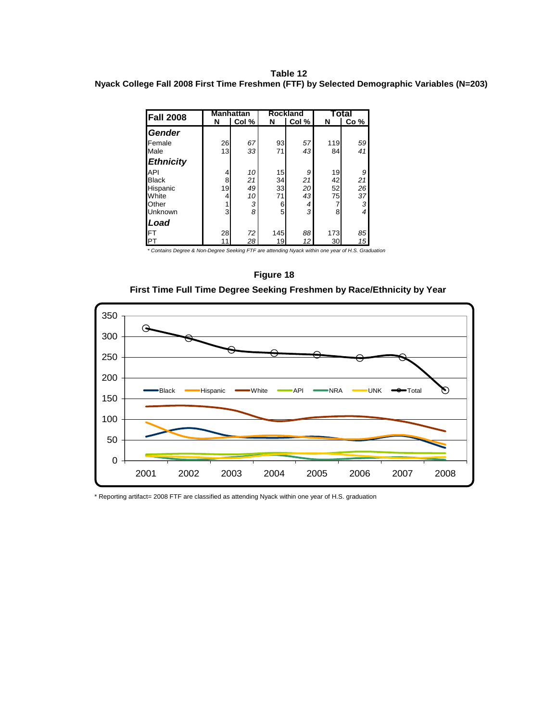#### **Table 12 Nyack College Fall 2008 First Time Freshmen (FTF) by Selected Demographic Variables (N=203)**

| <b>Fall 2008</b> |    | <b>Manhattan</b> |     | <b>Rockland</b> |     | Total |
|------------------|----|------------------|-----|-----------------|-----|-------|
|                  | N  | Col %            | N   | Col %           | N   | Co %  |
| Gender           |    |                  |     |                 |     |       |
| Female           | 26 | 67               | 93  | 57              | 119 | 59    |
| Male             | 13 | 33               | 71  | 43              | 84  | 41    |
| <b>Ethnicity</b> |    |                  |     |                 |     |       |
| <b>API</b>       | 4  | 10               | 15  | 9               | 19  | 9     |
| <b>Black</b>     | 8  | 21               | 34  | 21              | 42  | 21    |
| Hispanic         | 19 | 49               | 33  | 20              | 52  | 26    |
| White            | 4  | 10               | 71  | 43              | 75  | 37    |
| Other            |    | 3                | 6   | 4               | 7   | 3     |
| Unknown          | 3  | 8                | 5   | 3               | 8   | 4     |
| <b>Load</b>      |    |                  |     |                 |     |       |
| IFT              | 28 | 72               | 145 | 88              | 173 | 85    |
| <b>I</b> PT      |    | 28               | 19  | 12              | 30  | 15    |

*\* Contains Degree & Non-Degree Seeking FTF are attending Nyack within one year of H.S. Graduation*

#### **Figure 18**

**First Time Full Time Degree Seeking Freshmen by Race/Ethnicity by Year**



\* Reporting artifact= 2008 FTF are classified as attending Nyack within one year of H.S. graduation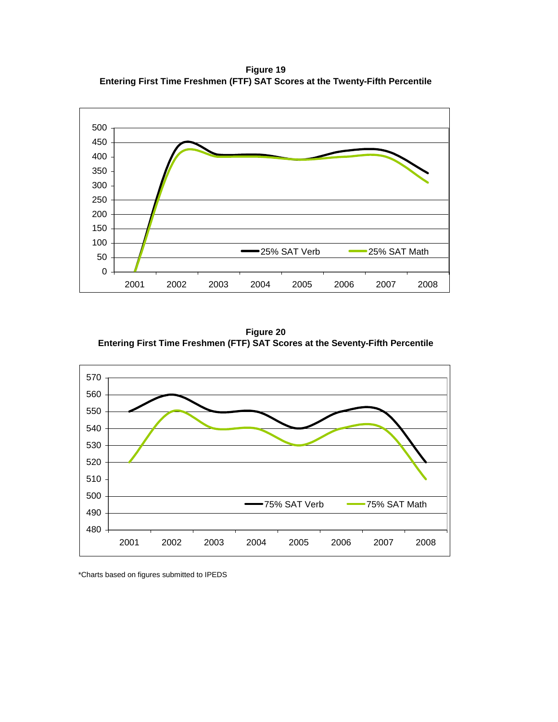**Figure 19 Entering First Time Freshmen (FTF) SAT Scores at the Twenty-Fifth Percentile**



**Figure 20 Entering First Time Freshmen (FTF) SAT Scores at the Seventy-Fifth Percentile**



\*Charts based on figures submitted to IPEDS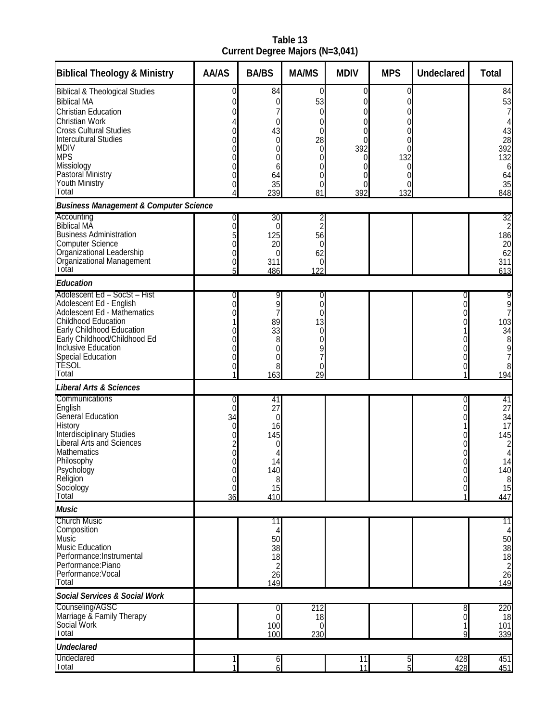**Table 13 Current Degree Majors (N=3,041)**

| <b>Biblical Theology &amp; Ministry</b>                | <b>AA/AS</b> | <b>BA/BS</b>            | <b>MA/MS</b>      | <b>MDIV</b>           | <b>MPS</b> | <b>Undeclared</b> | <b>Total</b>                           |
|--------------------------------------------------------|--------------|-------------------------|-------------------|-----------------------|------------|-------------------|----------------------------------------|
| <b>Biblical &amp; Theological Studies</b>              | 0            | 84                      | 0                 | 0                     | $\Omega$   |                   | 84                                     |
| <b>Biblical MA</b><br><b>Christian Education</b>       | 0            | 0                       | 53<br>$\Omega$    | 0<br>0                |            |                   | 53<br>7                                |
| <b>Christian Work</b>                                  |              | 0                       | 0                 | 0                     |            |                   |                                        |
| <b>Cross Cultural Studies</b>                          |              | 43                      | 0                 | 0                     |            |                   | 43                                     |
| <b>Intercultural Studies</b><br><b>MDIV</b>            |              | $\pmb{0}$               | 28                | 0                     |            |                   | 28                                     |
| <b>MPS</b>                                             | 0            | 0<br>0                  | $\mathbf{0}$<br>0 | 392<br>0              | 132        |                   | 392<br>132                             |
| Missiology                                             | 0            | 6                       | 0                 | 0                     |            |                   | 6                                      |
| Pastoral Ministry<br><b>Youth Ministry</b>             | 0            | 64<br>35                | 0<br>0            | 0<br>0                | 0<br>0     |                   | 64<br>35                               |
| Total                                                  |              | 239                     | 81                | 392                   | 132        |                   | 848                                    |
| <b>Business Management &amp; Computer Science</b>      |              |                         |                   |                       |            |                   |                                        |
| Accounting<br><b>Biblical MA</b>                       | 0            | 30                      | $\overline{c}$    |                       |            |                   | 32                                     |
| <b>Business Administration</b>                         | 0<br>5       | 0<br>125                | 56                |                       |            |                   | 186                                    |
| <b>Computer Science</b>                                |              | 20                      | 0                 |                       |            |                   | 20                                     |
| Organizational Leadership<br>Organizational Management |              | 0                       | 62                |                       |            |                   | 62                                     |
| Total                                                  | 0<br>5       | 311<br>486              | 0<br>122          |                       |            |                   | 311<br>613                             |
| <b>Education</b>                                       |              |                         |                   |                       |            |                   |                                        |
| Adolescent Ed - SocSt - Hist                           | 0            | 9                       | 0                 |                       |            | 0                 | 9                                      |
| Adolescent Ed - English<br>Adolescent Ed - Mathematics | 0            | 9                       | 0                 |                       |            | O                 | 9<br>7                                 |
| <b>Childhood Education</b>                             |              | 89                      | 13                |                       |            |                   | 103                                    |
| Early Childhood Education                              |              | 33                      | 0                 |                       |            |                   | 34                                     |
| Early Childhood/Childhood Ed<br>Inclusive Education    | N            | 8<br>0                  | 0                 |                       |            |                   | 8                                      |
| <b>Special Education</b>                               |              | 0                       | 9<br>7            |                       |            |                   | 9<br>7                                 |
| <b>TESOL</b>                                           | 0            | 8                       | 0                 |                       |            | 0                 | 8                                      |
| Total<br><b>Liberal Arts &amp; Sciences</b>            |              | 163                     | 29                |                       |            |                   | 194                                    |
| Communications                                         | 0            | 41                      |                   |                       |            | 0                 | 41                                     |
| English                                                | 0            | 27                      |                   |                       |            | 0                 | 27                                     |
| General Education                                      | 34           | 0                       |                   |                       |            |                   | 34                                     |
| History<br>Interdisciplinary Studies                   | 0<br>0       | 16<br>145               |                   |                       |            |                   | 17<br>145                              |
| <b>Liberal Arts and Sciences</b>                       |              | 0                       |                   |                       |            |                   | 2                                      |
| <b>Mathematics</b>                                     |              |                         |                   |                       |            |                   |                                        |
| Philosophy<br>Psychology                               | 0            | 14<br>140               |                   |                       |            | U                 | 14<br>140                              |
| Religion                                               | U<br>0       | 8 <sup>1</sup>          |                   |                       |            | 0                 |                                        |
| Sociology<br>Total                                     | 0            | 15                      |                   |                       |            | 0                 | $\begin{array}{c} 8 \\ 15 \end{array}$ |
| <b>Music</b>                                           | 36           | 410                     |                   |                       |            |                   | 447                                    |
| <b>Church Music</b>                                    |              | 11                      |                   |                       |            |                   | 11                                     |
| Composition                                            |              | 4                       |                   |                       |            |                   | 4                                      |
| Music<br><b>Music Education</b>                        |              | 50                      |                   |                       |            |                   |                                        |
| Performance: Instrumental                              |              | 38<br>18                |                   |                       |            |                   | 50<br>38<br>18<br>28<br>26             |
| Performance:Piano                                      |              | $\overline{\mathbf{c}}$ |                   |                       |            |                   |                                        |
| Performance: Vocal<br>Total                            |              | 26<br>149               |                   |                       |            |                   | 149                                    |
| <b>Social Services &amp; Social Work</b>               |              |                         |                   |                       |            |                   |                                        |
| Counseling/AGSC                                        |              | 0                       | 212               |                       |            | 8                 | 220                                    |
| Marriage & Family Therapy<br>Social Work               |              | $\pmb{0}$               | 18                |                       |            | 0                 | 18                                     |
| Total                                                  |              | 100<br>100              | 0<br>230          |                       |            | 9                 | 101<br>339                             |
| <b>Undeclared</b>                                      |              |                         |                   |                       |            |                   |                                        |
| Undeclared<br>Total                                    |              | 6<br>6                  |                   | $\overline{11}$<br>11 | თ თ        | 428<br>428        | 451<br>451                             |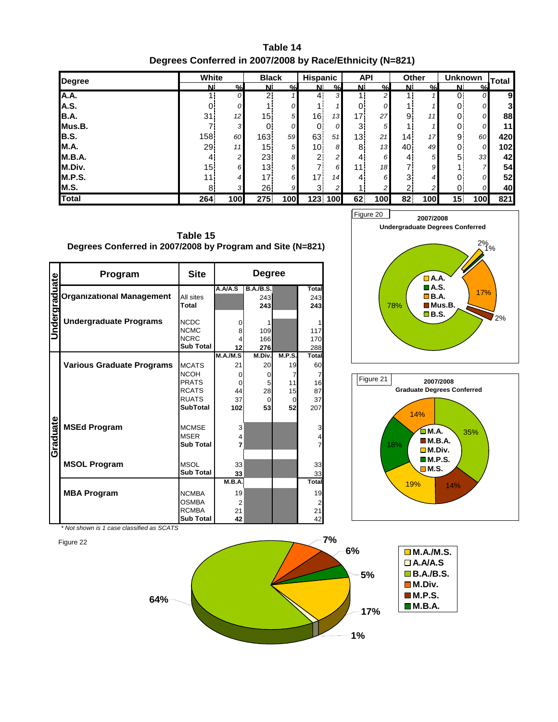**Table 14 Degrees Conferred in 2007/2008 by Race/Ethnicity (N=821)**

| <b>Degree</b> | White           |               | <b>Black</b>    |                | <b>Hispanic</b> |                | <b>API</b>      |                 | <b>Other</b>   |               | <b>Unknown</b>  |                  | Total |
|---------------|-----------------|---------------|-----------------|----------------|-----------------|----------------|-----------------|-----------------|----------------|---------------|-----------------|------------------|-------|
|               | N.              | $\frac{0}{2}$ | N               | $\frac{0}{2}$  | N               | %              | N.              | $\mathcal{O}_n$ | N              | $\frac{0}{2}$ | N               | $\frac{0}{n}$    |       |
| A.A.          |                 | 0             | 2 <sub>1</sub>  | 1              | $\overline{4}$  | 31             |                 | $\overline{2}$  |                |               | 0 <sup>1</sup>  | 0                | 9     |
| A.S.          |                 | 0             |                 | 0              |                 |                |                 | 0               |                |               | 0.              | 0                | 3     |
| <b>B.A.</b>   | 31              | 12            | 15 <sup>1</sup> | 5 <sup>1</sup> | 16              | 13             | 17.             | 27              | 9              | 11            | 0.              | 0                | 88    |
| Mus.B.        |                 | 3             | 0               | 0              | $\overline{0}$  | 0              | 3 <sup>1</sup>  | 5 <sub>l</sub>  |                |               | 01              | 0                | 11    |
| B.S.          | 158             | 60            | 163!            | 59             | 63              | 51             | 13 <sub>1</sub> | 21              | 14             | 17            | 9 <sub>1</sub>  | 60               | 420   |
| <b>M.A.</b>   | 29 <sub>1</sub> | 11            | 15 <sub>1</sub> | 5 <sub>l</sub> | 10 <sup>1</sup> | 8              | 8.              | 13              | 40             | 49            | $\overline{0}$  | $\overline{O}$   | 102   |
| <b>M.B.A.</b> | $\overline{4}$  | 2             | 23              | 8              | $\overline{2}$  | $\overline{2}$ | $\overline{4}$  | $6 \mid$        | 4              | 5             | 5               | 33               | 42    |
| M.Div.        | 15 <sub>1</sub> | 6             | 13 <sup>1</sup> | 5 <sup>1</sup> |                 | 6              | 11 <sup>1</sup> | 18              | 7              | 9             |                 | $\overline{ }$   | 54    |
| <b>M.P.S.</b> | 11.             | 4             | 17!             | 6              | 17 <sub>1</sub> | 14             | 41              | 6               | 3 <sup>1</sup> | 4             | 0!              | 01               | 52    |
| <b>M.S.</b>   | 8               | 3             | 26              | 9              | 3 <sup>1</sup>  | 2 <sub>l</sub> |                 | 2               | $\mathbf{2}$   | ົ             | 0               | 0                | 40    |
| <b>Total</b>  | 264             | 100           | 275.            | 100            | 123 100         |                | 62.             | 100             | 82.            | 100           | 15 <sup>1</sup> | 100 <sup>l</sup> | 821   |

**Table 15 Degrees Conferred in 2007/2008 by Program and Site (N=821)**

| <u>Jndergraduate</u> | Program                          | <b>Site</b>      |                | <b>Degree</b>    |               |                |
|----------------------|----------------------------------|------------------|----------------|------------------|---------------|----------------|
|                      |                                  |                  | A.A/A.S        | <b>B.A./B.S.</b> |               | Total          |
|                      | <b>Organizational Management</b> | All sites        |                | 243              |               | 243            |
|                      |                                  | Total            |                | 243              |               | 243            |
|                      |                                  |                  |                |                  |               |                |
|                      | <b>Undergraduate Programs</b>    | <b>NCDC</b>      | 0              | 1                |               |                |
|                      |                                  | <b>NCMC</b>      | 8              | 109              |               | 117            |
|                      |                                  | <b>NCRC</b>      |                | 166<br>276       |               | 170            |
|                      |                                  | <b>Sub Total</b> | 12             | 288              |               |                |
|                      |                                  |                  | M.A./M.S       | M.Div.           | <b>M.P.S.</b> | <b>Total</b>   |
|                      | <b>Various Graduate Programs</b> | <b>MCATS</b>     | 21             | 20               | 19            | 60             |
|                      |                                  | <b>NCOH</b>      | $\Omega$       | 0                | 7             | $\overline{7}$ |
|                      |                                  | <b>PRATS</b>     | $\Omega$       | 5                | 11            | 16             |
|                      |                                  | <b>RCATS</b>     | 44             | 28               | 15            | 87             |
|                      |                                  | <b>RUATS</b>     | 37             | 0                | 0             | 37             |
|                      |                                  | <b>SubTotal</b>  | 102            | 53               | 52            | 207            |
|                      |                                  |                  |                |                  |               |                |
|                      | <b>MSEd Program</b>              | <b>MCMSE</b>     | 3              |                  |               | 3              |
|                      |                                  | <b>MSER</b>      | 4              |                  |               | 4              |
|                      |                                  | <b>Sub Total</b> | 7              |                  |               | 7              |
| Graduate             |                                  |                  |                |                  |               |                |
|                      | <b>MSOL Program</b>              | <b>MSOL</b>      | 33             |                  |               | 33             |
|                      |                                  | <b>Sub Total</b> | 33             |                  |               |                |
|                      |                                  |                  | M.B.A.         |                  |               | 33<br>Total    |
|                      |                                  |                  |                |                  |               |                |
|                      | <b>MBA Program</b>               | <b>NCMBA</b>     | 19             |                  |               | 19             |
|                      |                                  | <b>OSMBA</b>     | $\overline{2}$ |                  |               | $\overline{2}$ |
|                      |                                  | <b>RCMBA</b>     | 21             |                  |               | 21             |
|                      |                                  | <b>Sub Total</b> | 42             |                  |               | 42             |





*\* Not shown is 1 case classified as SCATS*

Figure 22

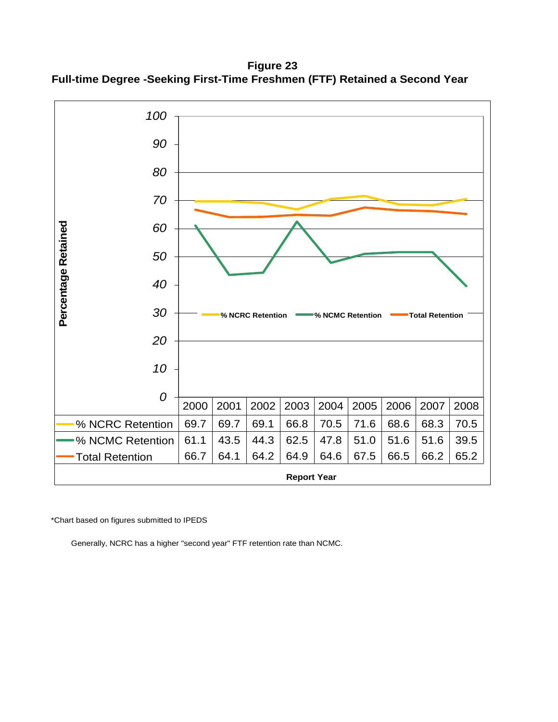**Figure 23 Full-time Degree -Seeking First-Time Freshmen (FTF) Retained a Second Year**



\*Chart based on figures submitted to IPEDS

Generally, NCRC has a higher "second year" FTF retention rate than NCMC.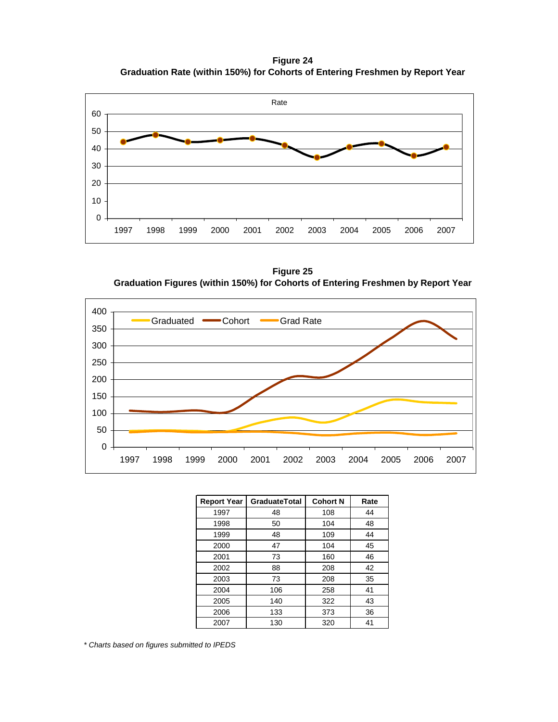**Figure 24 Graduation Rate (within 150%) for Cohorts of Entering Freshmen by Report Year**



**Figure 25 Graduation Figures (within 150%) for Cohorts of Entering Freshmen by Report Year**



| <b>Report Year</b> | <b>GraduateTotal</b> | <b>Cohort N</b> | Rate |
|--------------------|----------------------|-----------------|------|
| 1997               | 48                   | 108             | 44   |
| 1998               | 50                   | 104             | 48   |
| 1999               | 48                   | 109             | 44   |
| 2000               | 47                   | 104             | 45   |
| 2001               | 73                   | 160             | 46   |
| 2002               | 88                   | 208             | 42   |
| 2003               | 73                   | 208             | 35   |
| 2004               | 106                  | 258             | 41   |
| 2005               | 140                  | 322             | 43   |
| 2006               | 133                  | 373             | 36   |
| 2007               | 130                  | 320             | 41   |

*\* Charts based on figures submitted to IPEDS*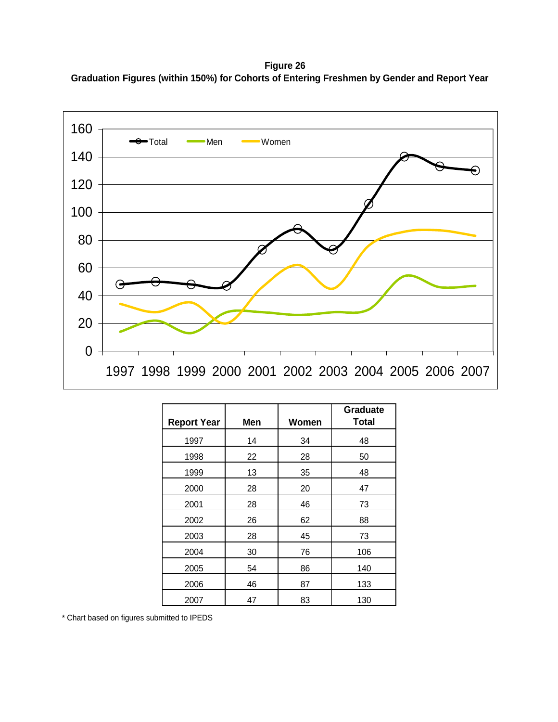**Figure 26 Graduation Figures (within 150%) for Cohorts of Entering Freshmen by Gender and Report Year**



| <b>Report Year</b> | Men | Women | <b>Graduate</b><br><b>Total</b> |
|--------------------|-----|-------|---------------------------------|
| 1997               | 14  | 34    | 48                              |
| 1998               | 22  | 28    | 50                              |
| 1999               | 13  | 35    | 48                              |
| 2000               | 28  | 20    | 47                              |
| 2001               | 28  | 46    | 73                              |
| 2002               | 26  | 62    | 88                              |
| 2003               | 28  | 45    | 73                              |
| 2004               | 30  | 76    | 106                             |
| 2005               | 54  | 86    | 140                             |
| 2006               | 46  | 87    | 133                             |
| 2007               | 47  | 83    | 130                             |

\* Chart based on figures submitted to IPEDS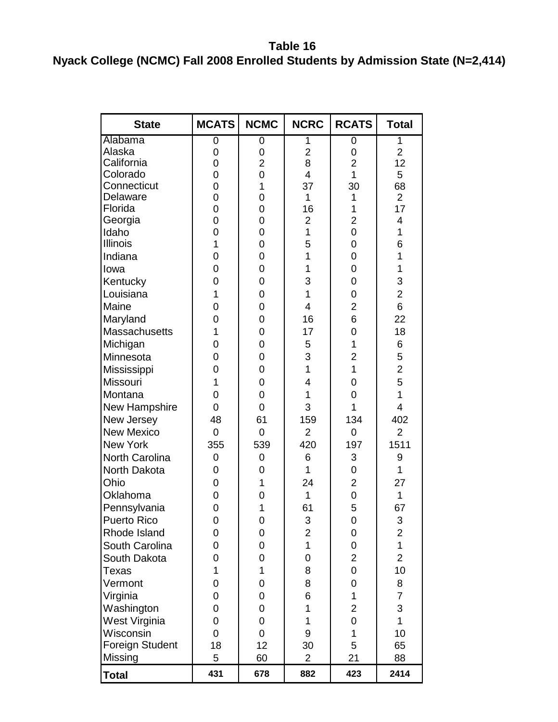**Table 16 Nyack College (NCMC) Fall 2008 Enrolled Students by Admission State (N=2,414)**

| <b>State</b>      | MCATS          | <b>NCMC</b>    | <b>NCRC</b>             | <b>RCATS</b>        | <b>Total</b>             |
|-------------------|----------------|----------------|-------------------------|---------------------|--------------------------|
| Alabama           | 0              | 0              | 1                       | 0                   | 1                        |
| Alaska            | 0              | 0              | $\overline{c}$          | 0                   | $\overline{2}$           |
| California        | 0              | $\overline{2}$ | 8                       | $\overline{2}$      | 12                       |
| Colorado          | 0              | 0              | $\overline{4}$          | 1                   | 5                        |
| Connecticut       | $\overline{0}$ | $\mathbf 1$    | 37                      | 30                  | 68                       |
| Delaware          | $\overline{0}$ | 0              | 1                       | 1                   | $\overline{2}$           |
| Florida           | $\overline{0}$ | 0              | 16                      | 1                   | 17                       |
| Georgia           | $\overline{0}$ | 0              | $\overline{2}$          | $\overline{2}$      | $\overline{4}$           |
| Idaho             | $\overline{0}$ | 0              | $\overline{1}$          | $\overline{0}$      | $\mathbf 1$              |
| <b>Illinois</b>   | $\overline{1}$ | 0              | 5                       | 0                   | 6                        |
| Indiana           | $\overline{0}$ | 0              | 1                       | 0                   | 1                        |
| lowa              | 0              | 0              | 1                       | 0                   | 1                        |
| Kentucky          | $\overline{0}$ | 0              | 3                       | $\overline{0}$      | 3                        |
| Louisiana         | 1              | 0              | 1                       | 0                   | $\overline{2}$           |
| Maine             | 0              | 0              | 4                       | $\overline{2}$      | 6                        |
| Maryland          | $\overline{0}$ | 0              | 16                      | 6                   | 22                       |
| Massachusetts     | 1              | 0              | 17                      | 0                   | 18                       |
| Michigan          | 0              | 0              | 5                       | 1                   | 6                        |
| Minnesota         | 0              | 0              | 3                       | $\overline{2}$      | 5                        |
| Mississippi       | $\overline{0}$ | 0              | $\overline{1}$          | 1                   | $\overline{c}$           |
| Missouri          | 1              | 0              | 4                       | 0                   | 5                        |
| Montana           | 0              |                | 1<br>0                  |                     | $\overline{1}$           |
| New Hampshire     | 0              | $\mathbf 0$    | 3                       | $\overline{0}$<br>1 | $\overline{\mathcal{A}}$ |
| New Jersey        | 48             | 61             | 159                     | 134                 | 402                      |
| <b>New Mexico</b> | 0              | $\overline{0}$ | $\overline{2}$          | 0                   | $\overline{2}$           |
| <b>New York</b>   | 355            | 539            | 420                     | 197                 | 1511                     |
| North Carolina    | 0              | 0              | 6                       | 3                   | 9                        |
| North Dakota      | 0              | 0              | 1                       | $\overline{0}$      | 1                        |
| Ohio              |                | $\overline{1}$ |                         |                     |                          |
|                   | 0              |                | 24<br>$\overline{1}$    | $\overline{2}$      | 27                       |
| Oklahoma          | $\overline{0}$ | 0              |                         | 0                   | $\overline{1}$           |
| Pennsylvania      | 0              | 1              | 61                      | 5                   | 67                       |
| Puerto Rico       | Ő              | 0              | 3                       | 0                   | 3                        |
| Rhode Island      | 0              | 0              | $\overline{\mathbf{c}}$ | 0                   | 2                        |
| South Carolina    | 0              | 0              | $\mathbf 1$             | 0                   | $\overline{1}$           |
| South Dakota      | 0              | 0              | 0                       | $\overline{2}$      | $\overline{2}$           |
| Texas             | 1              | $\mathbf{1}$   | 8                       | 0                   | 10                       |
| Vermont           | 0              | 0              | 8                       | 0                   | 8                        |
| Virginia          | 0              | 0              | 6                       | 1                   | $\overline{7}$           |
| Washington        | 0              | 0              | 1                       | $\overline{2}$      | 3                        |
| West Virginia     | 0              | 0              | 1                       | $\overline{0}$      | $\mathbf{1}$             |
| Wisconsin         | 0              | $\overline{0}$ | 9                       | 1                   | 10                       |
| Foreign Student   | 18             | 12             | 30                      | 5                   | 65                       |
| Missing           | 5              | 60             | $\overline{2}$          | 21                  | 88                       |
| <b>Total</b>      | 431            | 678            | 882                     | 423                 | 2414                     |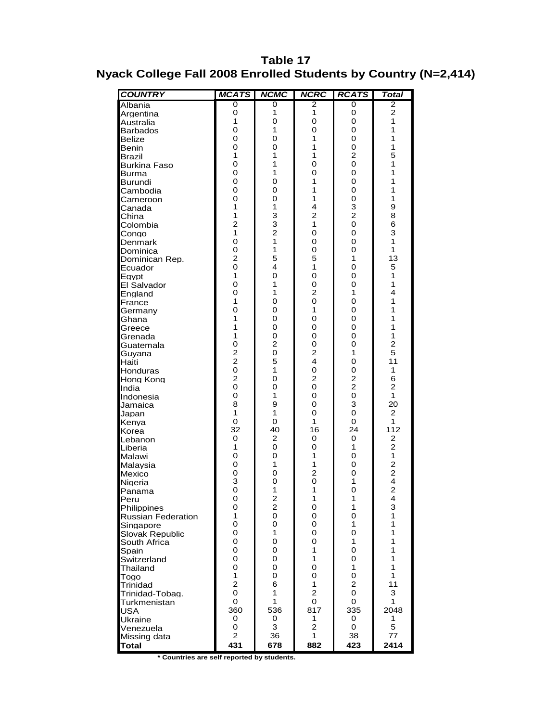### **Table 17 Nyack College Fall 2008 Enrolled Students by Country (N=2,414)**

| <b>COUNTRY</b>                           | <b>MCATS</b>   | <b>NCMC</b>                  | <b>NCRC</b>             | <b>RCATS</b>        | Total          |
|------------------------------------------|----------------|------------------------------|-------------------------|---------------------|----------------|
| Albania                                  | 0              | 0                            | 2                       | 0                   | 2              |
| Argentina                                | 0              | 1                            | 1                       | 0                   | $\overline{2}$ |
| Australia                                | 1              | 0                            | 0                       | 0                   | 1              |
| <b>Barbados</b>                          | 0              | 1                            | 0                       | 0                   | 1              |
| <b>Belize</b>                            | 0              | 0                            | 1                       | 0                   | 1              |
| Benin                                    | 0              | 0                            | 1                       | 0                   | 1              |
| Brazil                                   | 1<br>0         | 1<br>1                       | 1<br>$\overline{0}$     | $\overline{c}$<br>0 | 5<br>1         |
| <b>Burkina Faso</b>                      | 0              | 1                            | 0                       | 0                   | 1              |
| <b>Burma</b><br>Burundi                  | 0              | 0                            | 1                       | 0                   | 1              |
| Cambodia                                 | 0              | 0                            | 1                       | 0                   | 1              |
| Cameroon                                 | $\overline{0}$ | 0                            | 1                       | 0                   | 1              |
| Canada                                   | 1              | 1                            | $\overline{\mathbf{4}}$ | 3                   | 9              |
| China                                    | 1              | 3                            | $\overline{2}$          | $\overline{2}$      | 8              |
| Colombia                                 | $\overline{c}$ | 3                            | 1                       | 0                   | 6              |
| Congo                                    | 1              | $\overline{2}$               | 0                       | 0                   | 3              |
| Denmark                                  | $\overline{O}$ | 1                            | 0                       | 0                   | 1              |
| Dominica                                 | 0              | 1                            | 0                       | 0                   | 1              |
| Dominican Rep.                           | $\overline{2}$ | 5                            | 5                       | 1                   | 13             |
| Ecuador                                  | 0              | 4                            | 1                       | 0                   | 5              |
| Egypt                                    | 1<br>0         | 0<br>1                       | 0<br>0                  | 0<br>0              | 1<br>1         |
| <b>El Salvador</b>                       | 0              | 1                            | $\overline{2}$          | 1                   | 4              |
| England<br>France                        | 1              | 0                            | $\overline{O}$          | 0                   | 1              |
| Germany                                  | 0              | 0                            | 1                       | 0                   | 1              |
| Ghana                                    | 1              | 0                            | 0                       | 0                   | 1              |
| Greece                                   | 1              | 0                            | 0                       | 0                   | 1              |
| Grenada                                  | 1              | 0                            | 0                       | 0                   | 1              |
| Guatemala                                | 0              | $\overline{c}$               | 0                       | 0                   | $\overline{c}$ |
| Guyana                                   | $\frac{2}{2}$  | $\overline{0}$               | $\overline{\mathbf{c}}$ | 1                   | 5              |
| Haiti                                    |                | 5                            | $\overline{\mathbf{4}}$ | 0                   | 11             |
| Honduras                                 | $\mathbf 0$    | 1                            | 0                       | 0                   | 1              |
| Hong Kong                                | $\overline{c}$ | 0                            | 2                       | $\overline{c}$      | 6              |
| India                                    | $\mathbf 0$    | 0                            | 0                       | $\overline{2}$      | $\overline{2}$ |
| Indonesia                                | 0<br>8         | 1<br>9                       | 0<br>0                  | $\mathbf 0$<br>3    | 1<br>20        |
| Jamaica                                  | 1              | 1                            | 0                       | 0                   | $\overline{c}$ |
| Japan<br>Kenya                           | 0              | $\overline{0}$               | 1                       | 0                   | 1              |
| Korea                                    | 32             | 40                           | 16                      | 24                  | 112            |
| Lebanon                                  | 0              | $\overline{2}$               | 0                       | 0                   | 2              |
| Liberia                                  | 1              | 0                            | 0                       | 1                   | $\overline{2}$ |
| Malawi                                   | 0              | 0                            | 1                       | 0                   | 1              |
| Malaysia                                 | 0              | 1                            | 1                       | 0                   | $\overline{c}$ |
| Mexico                                   | 0              | 0                            | $\overline{c}$          | 0                   | 2<br>4         |
| Nigeria                                  | 3              | 0                            | $\mathbf 0$             | 1                   |                |
| Panama                                   | $\overline{O}$ | 1                            | 1                       | 0                   | $\overline{2}$ |
| Peru                                     | 0<br>0         | 2<br>$\overline{\mathbf{c}}$ | 1<br>0                  | 1<br>1              | 4<br>3         |
| Philippines<br><b>Russian Federation</b> | 1              | 0                            | 0                       | 0                   | 1              |
| Singapore                                | 0              | 0                            | 0                       | 1                   | 1              |
| Slovak Republic                          | 0              | 1                            | 0                       | 0                   | 1              |
| South Africa                             | 0              | 0                            | 0                       | 1                   | 1              |
| Spain                                    | 0              | 0                            | 1                       | 0                   | 1              |
| Switzerland                              | 0              | 0                            | 1                       | 0                   | 1              |
| Thailand                                 | 0              | 0                            | 0                       | 1                   | 1              |
| Togo                                     | 1              | 0                            | 0                       | 0                   | 1              |
| Trinidad                                 | $\overline{2}$ | 6                            | 1                       | $\overline{2}$      | 11             |
| Trinidad-Tobag.                          | 0              | 1                            | $\overline{2}$          | 0                   | 3              |
| Turkmenistan                             | 0              | 1                            | 0                       | 0                   | $\mathbf{1}$   |
| <b>USA</b>                               | 360            | 536                          | 817<br>1                | 335                 | 2048<br>1      |
| <b>Ukraine</b>                           | 0<br>0         | 0<br>3                       | $\overline{2}$          | 0<br>0              | 5              |
| Venezuela<br>Missing data                | $\overline{2}$ | 36                           | 1                       | 38                  | 77             |
| <b>Total</b>                             | 431            | 678                          | 882                     | 423                 | 2414           |
|                                          |                |                              |                         |                     |                |

**\* Countries are self reported by students.**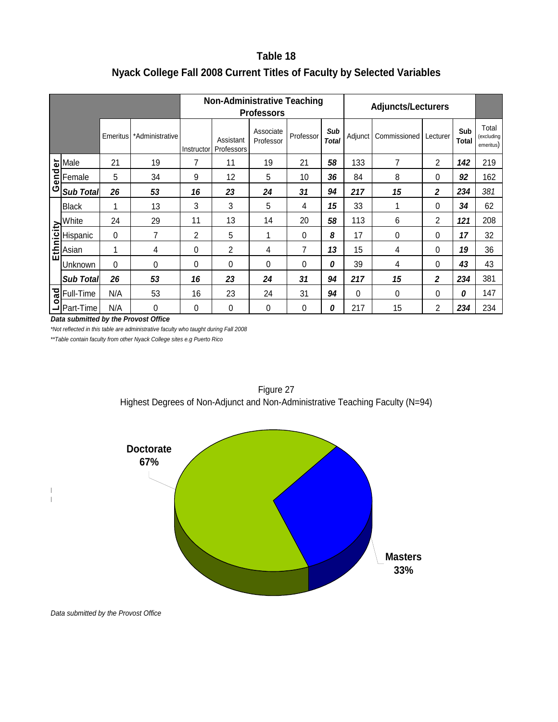### **Table 18 Nyack College Fall 2008 Current Titles of Faculty by Selected Variables**

|        |                                      |           |                                                     |                  |                                    | <b>Non-Administrative Teaching</b><br><b>Professors</b> |           |                     | <b>Adjuncts/Lecturers</b> |                                                                                                        |                         |                     |                                  |
|--------|--------------------------------------|-----------|-----------------------------------------------------|------------------|------------------------------------|---------------------------------------------------------|-----------|---------------------|---------------------------|--------------------------------------------------------------------------------------------------------|-------------------------|---------------------|----------------------------------|
|        |                                      | Emeritus  | *Administrative                                     |                  | Assistant<br>Instructor Professors | Associate<br>Professor                                  | Professor | Sub<br><b>Total</b> | Adjunct                   | Commissioned                                                                                           | Lecturer                | Sub<br><b>Total</b> | Total<br>(excluding<br>emeritus) |
|        | Male                                 | 21        | 19                                                  | 7                | 11                                 | 19                                                      | 21        | 58                  | 133                       | $\overline{7}$                                                                                         | 2                       | 142                 | 219                              |
| Gender | Female                               | 5         | 34                                                  | 9                | 12                                 | 5                                                       | 10        | 36                  | 84                        | 8                                                                                                      | 0                       | 92                  | 162                              |
|        | <b>Sub Total</b>                     | 26        | 53                                                  | 16               | 23                                 | 24                                                      | 31        | 94                  | 217                       | 15                                                                                                     | $\boldsymbol{2}$        | 234                 | 381                              |
|        | <b>Black</b>                         | 1         | 13                                                  | $\sqrt{3}$       | 3                                  | 5                                                       | 4         | 15                  | 33                        | 1                                                                                                      | 0                       | 34                  | 62                               |
|        | White                                | 24        | 29                                                  | 11               | 13                                 | 14                                                      | 20        | 58                  | 113                       | 6                                                                                                      | $\overline{2}$          | 121                 | 208                              |
|        | Hispanic                             | $\pmb{0}$ | $\overline{7}$                                      | $\boldsymbol{2}$ | 5                                  | 1                                                       | 0         | 8                   | 17                        | $\pmb{0}$                                                                                              | $\pmb{0}$               | 17                  | 32                               |
|        | White<br>Hispan<br>Linking           | 1         | $\overline{\mathbf{4}}$                             | $\pmb{0}$        | $\overline{c}$                     | 4                                                       | 7         | 13                  | 15                        | $\overline{\mathbf{4}}$                                                                                | 0                       | 19                  | 36                               |
|        | Unknown                              | $\pmb{0}$ | $\pmb{0}$                                           | $\pmb{0}$        | 0                                  | 0                                                       | 0         | 0                   | 39                        | $\overline{\mathcal{A}}$                                                                               | $\pmb{0}$               | 43                  | 43                               |
|        | Sub Total                            | 26        | 53                                                  | 16               | 23                                 | 24                                                      | 31        | 94                  | 217                       | 15                                                                                                     | $\overline{\mathbf{2}}$ | 234                 | 381                              |
| Load   | Full-Time                            | N/A       | 53                                                  | 16               | 23                                 | 24                                                      | 31        | 94                  | $\pmb{0}$                 | $\pmb{0}$                                                                                              | 0                       | 0                   | 147                              |
|        | Part-Time                            | N/A       | $\mathbf 0$<br>Data submitted by the Provost Office | $\pmb{0}$        | $\pmb{0}$                          | $\boldsymbol{0}$                                        | $\pmb{0}$ | 0                   | 217                       | 15                                                                                                     | $\boldsymbol{2}$        | 234                 | 234                              |
|        |                                      |           | <b>Doctorate</b><br>67%                             |                  |                                    | Figure 27                                               |           |                     |                           | Highest Degrees of Non-Adjunct and Non-Administrative Teaching Faculty (N=94)<br><b>Masters</b><br>33% |                         |                     |                                  |
|        | Data submitted by the Provost Office |           |                                                     |                  |                                    |                                                         |           |                     |                           |                                                                                                        |                         |                     |                                  |

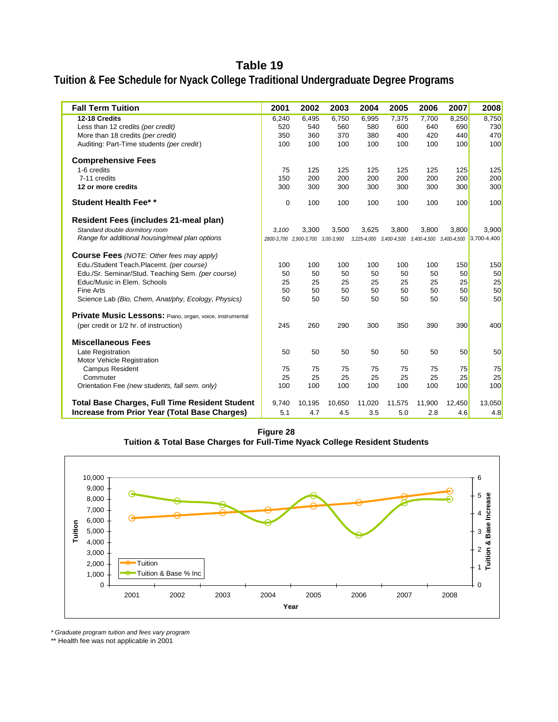### **Table 19**

### **Tuition & Fee Schedule for Nyack College Traditional Undergraduate Degree Programs**

| <b>Fall Term Tuition</b>                                 | 2001  | 2002                              | 2003   | 2004   | 2005   | 2006   | 2007   | 2008                                                        |
|----------------------------------------------------------|-------|-----------------------------------|--------|--------|--------|--------|--------|-------------------------------------------------------------|
| 12-18 Credits                                            | 6,240 | 6,495                             | 6,750  | 6,995  | 7,375  | 7,700  | 8,250  | 8,750                                                       |
| Less than 12 credits (per credit)                        | 520   | 540                               | 560    | 580    | 600    | 640    | 690    | 730                                                         |
| More than 18 credits (per credit)                        | 350   | 360                               | 370    | 380    | 400    | 420    | 440    | 470                                                         |
| Auditing: Part-Time students (per credit)                | 100   | 100                               | 100    | 100    | 100    | 100    | 100    | 100                                                         |
| <b>Comprehensive Fees</b>                                |       |                                   |        |        |        |        |        |                                                             |
| 1-6 credits                                              | 75    | 125                               | 125    | 125    | 125    | 125    | 125    | 125                                                         |
| 7-11 credits                                             | 150   | 200                               | 200    | 200    | 200    | 200    | 200    | 200                                                         |
| 12 or more credits                                       | 300   | 300                               | 300    | 300    | 300    | 300    | 300    | 300                                                         |
| <b>Student Health Fee**</b>                              | 0     | 100                               | 100    | 100    | 100    | 100    | 100    | 100                                                         |
| Resident Fees (includes 21-meal plan)                    |       |                                   |        |        |        |        |        |                                                             |
| Standard double dormitory room                           | 3.100 | 3,300                             | 3,500  | 3,625  | 3,800  | 3,800  | 3.800  | 3,900                                                       |
| Range for additional housing/meal plan options           |       | 2800-3,700 2,900-3,700 3,00-3,900 |        |        |        |        |        | 3,225-4,000 3,400-4,500 3,400-4,500 3,400-4,500 3,700-4,400 |
| <b>Course Fees</b> (NOTE: Other fees may apply)          |       |                                   |        |        |        |        |        |                                                             |
| Edu./Student Teach.Placemt. (per course)                 | 100   | 100                               | 100    | 100    | 100    | 100    | 150    | 150                                                         |
| Edu./Sr. Seminar/Stud. Teaching Sem. (per course)        | 50    | 50                                | 50     | 50     | 50     | 50     | 50     | 50                                                          |
| Educ/Music in Elem. Schools                              | 25    | 25                                | 25     | 25     | 25     | 25     | 25     | 25                                                          |
| Fine Arts                                                | 50    | 50                                | 50     | 50     | 50     | 50     | 50     | 50                                                          |
| Science Lab (Bio, Chem, Anat/phy, Ecology, Physics)      | 50    | 50                                | 50     | 50     | 50     | 50     | 50     | 50                                                          |
| Private Music Lessons: Piano, organ, voice, instrumental |       |                                   |        |        |        |        |        |                                                             |
| (per credit or 1/2 hr. of instruction)                   | 245   | 260                               | 290    | 300    | 350    | 390    | 390    | 400                                                         |
| <b>Miscellaneous Fees</b>                                |       |                                   |        |        |        |        |        |                                                             |
| Late Registration                                        | 50    | 50                                | 50     | 50     | 50     | 50     | 50     | 50                                                          |
| Motor Vehicle Registration                               |       |                                   |        |        |        |        |        |                                                             |
| <b>Campus Resident</b>                                   | 75    | 75                                | 75     | 75     | 75     | 75     | 75     | 75                                                          |
| Commuter                                                 | 25    | 25                                | 25     | 25     | 25     | 25     | 25     | 25                                                          |
| Orientation Fee (new students, fall sem. only)           | 100   | 100                               | 100    | 100    | 100    | 100    | 100    | 100                                                         |
| <b>Total Base Charges, Full Time Resident Student</b>    | 9,740 | 10,195                            | 10,650 | 11,020 | 11,575 | 11,900 | 12,450 | 13,050                                                      |
| <b>Increase from Prior Year (Total Base Charges)</b>     | 5.1   | 4.7                               | 4.5    | 3.5    | 5.0    | 2.8    | 4.6    | 4.8                                                         |

**Figure 28 Tuition & Total Base Charges for Full-Time Nyack College Resident Students**



*\* Graduate program tuition and fees vary program*

\*\* Health fee was not applicable in 2001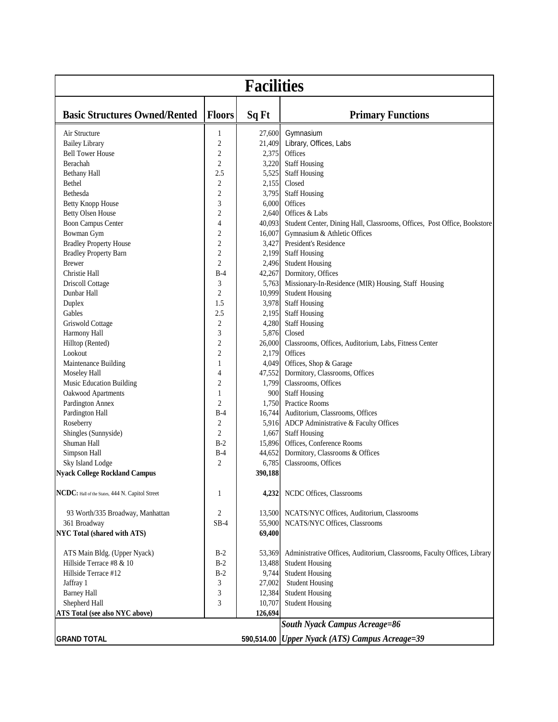| <b>Facilities</b>                               |                         |         |                                                                          |  |  |  |  |
|-------------------------------------------------|-------------------------|---------|--------------------------------------------------------------------------|--|--|--|--|
| <b>Basic Structures Owned/Rented</b>            | <b>Floors</b>           | Sq Ft   | <b>Primary Functions</b>                                                 |  |  |  |  |
| Air Structure                                   | $\mathbf{1}$            | 27,600  | Gymnasium                                                                |  |  |  |  |
| <b>Bailey Library</b>                           | $\overline{c}$          | 21,409  | Library, Offices, Labs                                                   |  |  |  |  |
| <b>Bell Tower House</b>                         | 2                       | 2,375   | Offices                                                                  |  |  |  |  |
| Berachah                                        | $\overline{2}$          | 3,220   | <b>Staff Housing</b>                                                     |  |  |  |  |
| <b>Bethany Hall</b>                             | 2.5                     | 5,525   | <b>Staff Housing</b>                                                     |  |  |  |  |
| Bethel                                          | $\boldsymbol{2}$        | 2,155   | Closed                                                                   |  |  |  |  |
| Bethesda                                        | $\overline{2}$          | 3,795   | <b>Staff Housing</b>                                                     |  |  |  |  |
| <b>Betty Knopp House</b>                        | 3                       | 6,000   | Offices                                                                  |  |  |  |  |
| <b>Betty Olsen House</b>                        | 2                       | 2,640   | Offices & Labs                                                           |  |  |  |  |
| <b>Boon Campus Center</b>                       | 4                       | 40,093  | Student Center, Dining Hall, Classrooms, Offices, Post Office, Bookstore |  |  |  |  |
| Bowman Gym                                      | $\overline{c}$          | 16,007  | Gymnasium & Athletic Offices                                             |  |  |  |  |
| <b>Bradley Property House</b>                   | $\overline{2}$          | 3,427   | President's Residence                                                    |  |  |  |  |
| <b>Bradley Property Barn</b>                    | $\boldsymbol{2}$        | 2,199   | <b>Staff Housing</b>                                                     |  |  |  |  |
| <b>Brewer</b>                                   | $\overline{2}$          | 2,496   | <b>Student Housing</b>                                                   |  |  |  |  |
| Christie Hall                                   | $B-4$                   | 42,267  | Dormitory, Offices                                                       |  |  |  |  |
| <b>Driscoll Cottage</b>                         | 3                       | 5,763   | Missionary-In-Residence (MIR) Housing, Staff Housing                     |  |  |  |  |
| Dunbar Hall                                     | $\overline{2}$          | 10,999  | <b>Student Housing</b>                                                   |  |  |  |  |
| Duplex                                          | 1.5                     | 3,978   | <b>Staff Housing</b>                                                     |  |  |  |  |
| Gables                                          | 2.5                     | 2,195   | <b>Staff Housing</b>                                                     |  |  |  |  |
| Griswold Cottage                                | $\sqrt{2}$              | 4,280   | <b>Staff Housing</b>                                                     |  |  |  |  |
| Harmony Hall                                    | 3                       | 5,876   | Closed                                                                   |  |  |  |  |
| Hilltop (Rented)                                | 2                       | 26,000  | Classrooms, Offices, Auditorium, Labs, Fitness Center                    |  |  |  |  |
| Lookout                                         | $\overline{c}$          | 2,179   | Offices                                                                  |  |  |  |  |
| Maintenance Building                            | 1                       | 4,049   | Offices, Shop & Garage                                                   |  |  |  |  |
| Moseley Hall                                    | 4                       | 47,552  | Dormitory, Classrooms, Offices                                           |  |  |  |  |
| Music Education Building                        | 2                       | 1,799   | Classrooms, Offices                                                      |  |  |  |  |
| Oakwood Apartments                              | 1                       | 900     | <b>Staff Housing</b>                                                     |  |  |  |  |
| Pardington Annex                                | 2                       | 1,750   | <b>Practice Rooms</b>                                                    |  |  |  |  |
| Pardington Hall                                 | $B-4$                   | 16,744  | Auditorium, Classrooms, Offices                                          |  |  |  |  |
| Roseberry                                       | $\overline{\mathbf{c}}$ | 5,916   | ADCP Administrative & Faculty Offices                                    |  |  |  |  |
| Shingles (Sunnyside)                            | $\overline{2}$          | 1,667   | <b>Staff Housing</b>                                                     |  |  |  |  |
| Shuman Hall                                     | $B-2$                   | 15,896  | Offices, Conference Rooms                                                |  |  |  |  |
| Simpson Hall                                    | $B-4$                   | 44,652  | Dormitory, Classrooms & Offices                                          |  |  |  |  |
| Sky Island Lodge                                | $\overline{2}$          | 6,785   | Classrooms, Offices                                                      |  |  |  |  |
| <b>Nyack College Rockland Campus</b>            |                         | 390,188 |                                                                          |  |  |  |  |
| NCDC: Hall of the States, 444 N. Capitol Street | 1                       | 4,232   | NCDC Offices, Classrooms                                                 |  |  |  |  |
| 93 Worth/335 Broadway, Manhattan                | 2                       | 13,500  | NCATS/NYC Offices, Auditorium, Classrooms                                |  |  |  |  |
| 361 Broadway                                    | $SB-4$                  | 55,900  | NCATS/NYC Offices, Classrooms                                            |  |  |  |  |
| NYC Total (shared with ATS)                     |                         | 69,400  |                                                                          |  |  |  |  |
| ATS Main Bldg. (Upper Nyack)                    | $B-2$                   | 53,369  | Administrative Offices, Auditorium, Classrooms, Faculty Offices, Library |  |  |  |  |
| Hillside Terrace #8 & 10                        | $B-2$                   | 13,488  | <b>Student Housing</b>                                                   |  |  |  |  |
| Hillside Terrace #12                            | $B-2$                   | 9,744   | <b>Student Housing</b>                                                   |  |  |  |  |
| Jaffray 1                                       | 3                       | 27,002  | <b>Student Housing</b>                                                   |  |  |  |  |
| <b>Barney Hall</b>                              | 3                       | 12,384  | <b>Student Housing</b>                                                   |  |  |  |  |
| Shepherd Hall                                   | 3                       | 10,707  | <b>Student Housing</b>                                                   |  |  |  |  |
| ATS Total (see also NYC above)                  |                         | 126,694 |                                                                          |  |  |  |  |
|                                                 |                         |         | <b>South Nyack Campus Acreage=86</b>                                     |  |  |  |  |
|                                                 |                         |         |                                                                          |  |  |  |  |